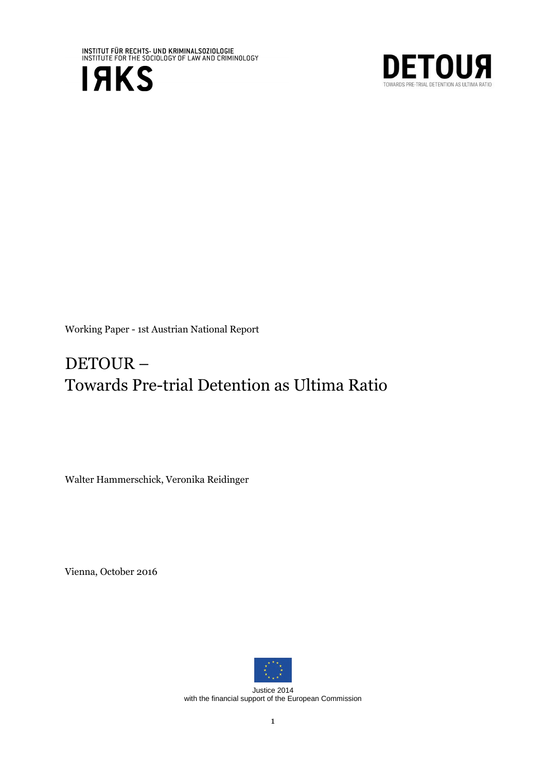





# DETOUR – Towards Pre-trial Detention as Ultima Ratio

Walter Hammerschick, Veronika Reidinger

Vienna, October 2016



Justice 2014 with the financial support of the European Commission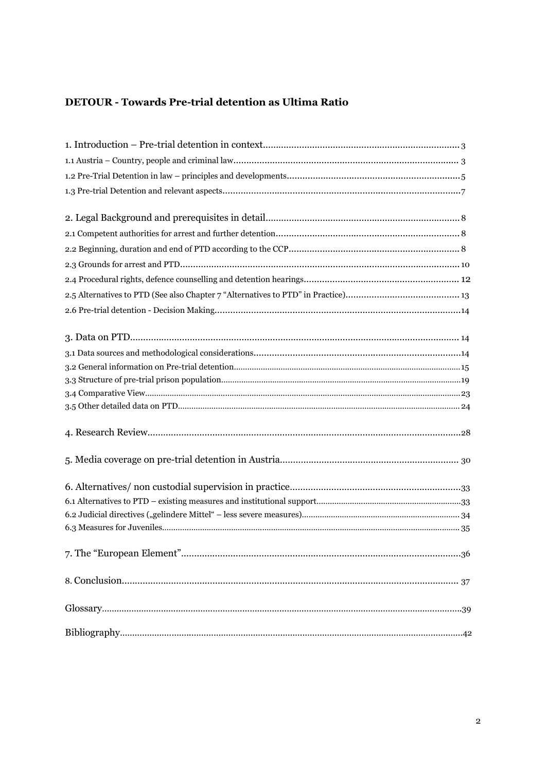## **DETOUR - Towards Pre-trial detention as Ultima Ratio**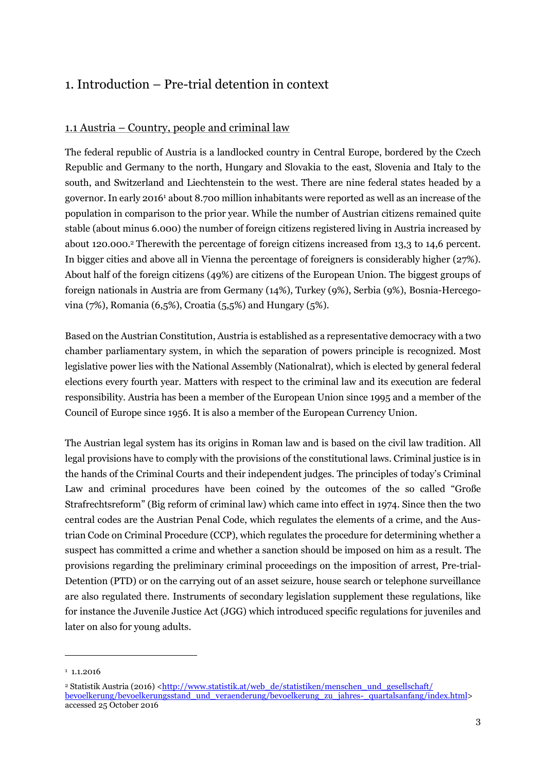## <span id="page-2-0"></span>1. Introduction – Pre-trial detention in context

## <span id="page-2-1"></span>1.1 Austria – Country, people and criminal law

The federal republic of Austria is a landlocked country in Central Europe, bordered by the Czech Republic and Germany to the north, Hungary and Slovakia to the east, Slovenia and Italy to the south, and Switzerland and Liechtenstein to the west. There are nine federal states headed by a governor. In early 2016<sup>1</sup> about 8.700 million inhabitants were reported as well as an increase of the population in comparison to the prior year. While the number of Austrian citizens remained quite stable (about minus 6.000) the number of foreign citizens registered living in Austria increased by about 120.000.<sup>2</sup> Therewith the percentage of foreign citizens increased from 13,3 to 14,6 percent. In bigger cities and above all in Vienna the percentage of foreigners is considerably higher (27%). About half of the foreign citizens (49%) are citizens of the European Union. The biggest groups of foreign nationals in Austria are from Germany (14%), Turkey (9%), Serbia (9%), Bosnia-Hercegovina (7%), Romania (6,5%), Croatia (5,5%) and Hungary (5%).

Based on the Austrian Constitution, Austria is established as a representative democracy with a two chamber parliamentary system, in which the separation of powers principle is recognized. Most legislative power lies with the National Assembly (Nationalrat), which is elected by general federal elections every fourth year. Matters with respect to the criminal law and its execution are federal responsibility. Austria has been a member of the European Union since 1995 and a member of the Council of Europe since 1956. It is also a member of the European Currency Union.

The Austrian legal system has its origins in Roman law and is based on the civil law tradition. All legal provisions have to comply with the provisions of the constitutional laws. Criminal justice is in the hands of the Criminal Courts and their independent judges. The principles of today's Criminal Law and criminal procedures have been coined by the outcomes of the so called "Große Strafrechtsreform" (Big reform of criminal law) which came into effect in 1974. Since then the two central codes are the Austrian Penal Code, which regulates the elements of a crime, and the Austrian Code on Criminal Procedure (CCP), which regulates the procedure for determining whether a suspect has committed a crime and whether a sanction should be imposed on him as a result. The provisions regarding the preliminary criminal proceedings on the imposition of arrest, Pre-trial-Detention (PTD) or on the carrying out of an asset seizure, house search or telephone surveillance are also regulated there. Instruments of secondary legislation supplement these regulations, like for instance the Juvenile Justice Act (JGG) which introduced specific regulations for juveniles and later on also for young adults.

 $1.1.2016$ 

<sup>&</sup>lt;sup>2</sup> Statistik Austria (2016) [<http://www.statistik.at/web\\_de/statistiken/menschen\\_und\\_gesellschaft/](http://www.statistik.at/web_de/statistiken/menschen_und_gesellschaft/%20bevoelkerung/bevoelkerungsstand_und_veraenderung/bevoelkerung_zu_jahres-_quartalsanfang/index.html) [bevoelkerung/bevoelkerungsstand\\_und\\_veraenderung/bevoelkerung\\_zu\\_jahres-\\_quartalsanfang/index.html>](http://www.statistik.at/web_de/statistiken/menschen_und_gesellschaft/%20bevoelkerung/bevoelkerungsstand_und_veraenderung/bevoelkerung_zu_jahres-_quartalsanfang/index.html) accessed 25 October 2016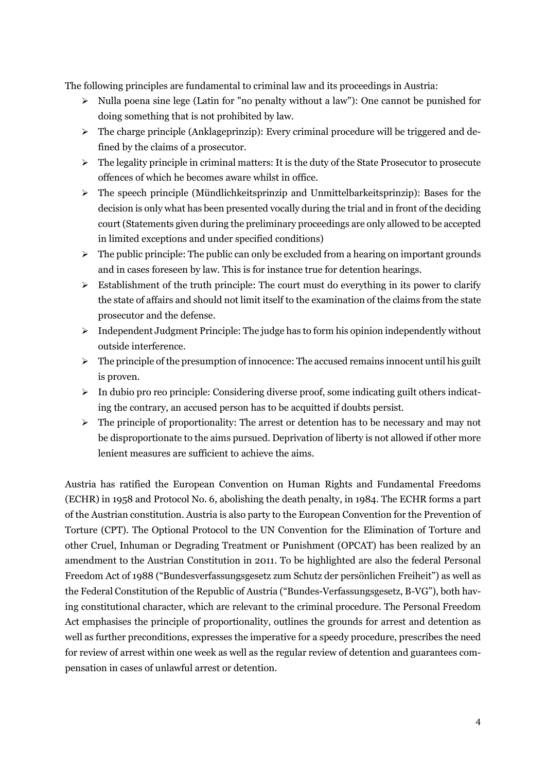The following principles are fundamental to criminal law and its proceedings in Austria:

- $\triangleright$  Nulla poena sine lege (Latin for "no penalty without a law"): One cannot be punished for doing something that is not prohibited by law.
- $\triangleright$  The charge principle (Anklageprinzip): Every criminal procedure will be triggered and defined by the claims of a prosecutor.
- $\triangleright$  The legality principle in criminal matters: It is the duty of the State Prosecutor to prosecute offences of which he becomes aware whilst in office.
- $\triangleright$  The speech principle (Mündlichkeitsprinzip and Unmittelbarkeitsprinzip): Bases for the decision is only what has been presented vocally during the trial and in front of the deciding court (Statements given during the preliminary proceedings are only allowed to be accepted in limited exceptions and under specified conditions)
- $\triangleright$  The public principle: The public can only be excluded from a hearing on important grounds and in cases foreseen by law. This is for instance true for detention hearings.
- $\triangleright$  Establishment of the truth principle: The court must do everything in its power to clarify the state of affairs and should not limit itself to the examination of the claims from the state prosecutor and the defense.
- $\triangleright$  Independent Judgment Principle: The judge has to form his opinion independently without outside interference.
- $\triangleright$  The principle of the presumption of innocence: The accused remains innocent until his guilt is proven.
- $\triangleright$  In dubio pro reo principle: Considering diverse proof, some indicating guilt others indicating the contrary, an accused person has to be acquitted if doubts persist.
- $\triangleright$  The principle of proportionality: The arrest or detention has to be necessary and may not be disproportionate to the aims pursued. Deprivation of liberty is not allowed if other more lenient measures are sufficient to achieve the aims.

Austria has ratified the European Convention on Human Rights and Fundamental Freedoms (ECHR) in 1958 and Protocol No. 6, abolishing the death penalty, in 1984. The ECHR forms a part of the Austrian constitution. Austria is also party to the European Convention for the Prevention of Torture (CPT). The Optional Protocol to the UN Convention for the Elimination of Torture and other Cruel, Inhuman or Degrading Treatment or Punishment (OPCAT) has been realized by an amendment to the Austrian Constitution in 2011. To be highlighted are also the federal Personal Freedom Act of 1988 ("Bundesverfassungsgesetz zum Schutz der persönlichen Freiheit") as well as the Federal Constitution of the Republic of Austria ("Bundes-Verfassungsgesetz, B-VG"), both having constitutional character, which are relevant to the criminal procedure. The Personal Freedom Act emphasises the principle of proportionality, outlines the grounds for arrest and detention as well as further preconditions, expresses the imperative for a speedy procedure, prescribes the need for review of arrest within one week as well as the regular review of detention and guarantees compensation in cases of unlawful arrest or detention.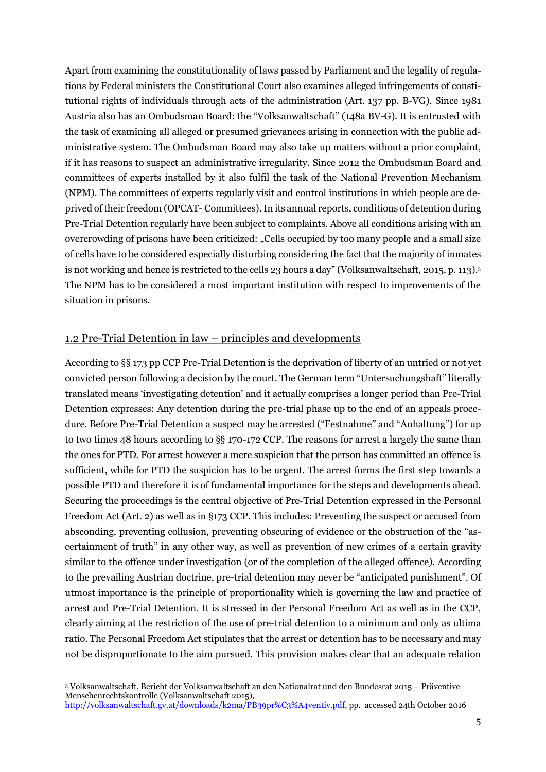Apart from examining the constitutionality of laws passed by Parliament and the legality of regulations by Federal ministers the Constitutional Court also examines alleged infringements of constitutional rights of individuals through acts of the administration (Art. 137 pp. B-VG). Since 1981 Austria also has an Ombudsman Board: the "Volksanwaltschaft" (148a BV-G). It is entrusted with the task of examining all alleged or presumed grievances arising in connection with the public administrative system. The Ombudsman Board may also take up matters without a prior complaint, if it has reasons to suspect an administrative irregularity. Since 2012 the Ombudsman Board and committees of experts installed by it also fulfil the task of the National Prevention Mechanism (NPM). The committees of experts regularly visit and control institutions in which people are deprived of their freedom (OPCAT- Committees).In its annual reports, conditions of detention during Pre-Trial Detention regularly have been subject to complaints. Above all conditions arising with an overcrowding of prisons have been criticized: "Cells occupied by too many people and a small size of cells have to be considered especially disturbing considering the fact that the majority of inmates is not working and hence is restricted to the cells 23 hours a day" (Volksanwaltschaft, 2015, p. 113).<sup>3</sup> The NPM has to be considered a most important institution with respect to improvements of the situation in prisons.

### <span id="page-4-0"></span>1.2 Pre-Trial Detention in law – principles and developments

According to §§ 173 pp CCP Pre-Trial Detention is the deprivation of liberty of an untried or not yet convicted person following a decision by the court. The German term "Untersuchungshaft" literally translated means 'investigating detention' and it actually comprises a longer period than Pre-Trial Detention expresses: Any detention during the pre-trial phase up to the end of an appeals procedure. Before Pre-Trial Detention a suspect may be arrested ("Festnahme" and "Anhaltung") for up to two times 48 hours according to §§ 170-172 CCP. The reasons for arrest a largely the same than the ones for PTD. For arrest however a mere suspicion that the person has committed an offence is sufficient, while for PTD the suspicion has to be urgent. The arrest forms the first step towards a possible PTD and therefore it is of fundamental importance for the steps and developments ahead. Securing the proceedings is the central objective of Pre-Trial Detention expressed in the Personal Freedom Act (Art. 2) as well as in §173 CCP. This includes: Preventing the suspect or accused from absconding, preventing collusion, preventing obscuring of evidence or the obstruction of the "ascertainment of truth" in any other way, as well as prevention of new crimes of a certain gravity similar to the offence under investigation (or of the completion of the alleged offence). According to the prevailing Austrian doctrine, pre-trial detention may never be "anticipated punishment". Of utmost importance is the principle of proportionality which is governing the law and practice of arrest and Pre-Trial Detention. It is stressed in der Personal Freedom Act as well as in the CCP, clearly aiming at the restriction of the use of pre-trial detention to a minimum and only as ultima ratio. The Personal Freedom Act stipulates that the arrest or detention has to be necessary and may not be disproportionate to the aim pursued. This provision makes clear that an adequate relation

<sup>3</sup> Volksanwaltschaft, Bericht der Volksanwaltschaft an den Nationalrat und den Bundesrat 2015 – Präventive Menschenrechtskontrolle (Volksanwaltschaft 2015), [http://volksanwaltschaft.gv.at/downloads/k2ma/PB39pr%C3%A4ventiv.pdf,](http://volksanwaltschaft.gv.at/downloads/k2ma/PB39pr%C3%A4ventiv.pdf) pp. accessed 24th October 2016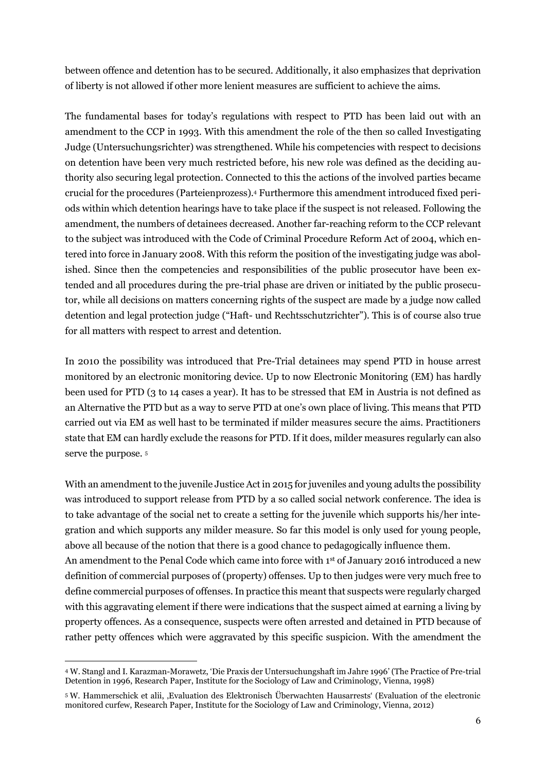between offence and detention has to be secured. Additionally, it also emphasizes that deprivation of liberty is not allowed if other more lenient measures are sufficient to achieve the aims.

The fundamental bases for today's regulations with respect to PTD has been laid out with an amendment to the CCP in 1993. With this amendment the role of the then so called Investigating Judge (Untersuchungsrichter) was strengthened. While his competencies with respect to decisions on detention have been very much restricted before, his new role was defined as the deciding authority also securing legal protection. Connected to this the actions of the involved parties became crucial for the procedures (Parteienprozess). <sup>4</sup> Furthermore this amendment introduced fixed periods within which detention hearings have to take place if the suspect is not released. Following the amendment, the numbers of detainees decreased. Another far-reaching reform to the CCP relevant to the subject was introduced with the Code of Criminal Procedure Reform Act of 2004, which entered into force in January 2008. With this reform the position of the investigating judge was abolished. Since then the competencies and responsibilities of the public prosecutor have been extended and all procedures during the pre-trial phase are driven or initiated by the public prosecutor, while all decisions on matters concerning rights of the suspect are made by a judge now called detention and legal protection judge ("Haft- und Rechtsschutzrichter"). This is of course also true for all matters with respect to arrest and detention.

In 2010 the possibility was introduced that Pre-Trial detainees may spend PTD in house arrest monitored by an electronic monitoring device. Up to now Electronic Monitoring (EM) has hardly been used for PTD (3 to 14 cases a year). It has to be stressed that EM in Austria is not defined as an Alternative the PTD but as a way to serve PTD at one's own place of living. This means that PTD carried out via EM as well hast to be terminated if milder measures secure the aims. Practitioners state that EM can hardly exclude the reasons for PTD. If it does, milder measures regularly can also serve the purpose. <sup>5</sup>

With an amendment to the juvenile Justice Act in 2015 for juveniles and young adults the possibility was introduced to support release from PTD by a so called social network conference. The idea is to take advantage of the social net to create a setting for the juvenile which supports his/her integration and which supports any milder measure. So far this model is only used for young people, above all because of the notion that there is a good chance to pedagogically influence them. An amendment to the Penal Code which came into force with 1st of January 2016 introduced a new definition of commercial purposes of (property) offenses. Up to then judges were very much free to define commercial purposes of offenses. In practice this meant that suspects were regularly charged with this aggravating element if there were indications that the suspect aimed at earning a living by property offences. As a consequence, suspects were often arrested and detained in PTD because of rather petty offences which were aggravated by this specific suspicion. With the amendment the

<sup>4</sup> W. Stangl and I. Karazman-Morawetz, 'Die Praxis der Untersuchungshaft im Jahre 1996' (The Practice of Pre-trial Detention in 1996, Research Paper, Institute for the Sociology of Law and Criminology, Vienna, 1998)

<sup>5</sup> W. Hammerschick et alii, 'Evaluation des Elektronisch Überwachten Hausarrests' (Evaluation of the electronic monitored curfew, Research Paper, Institute for the Sociology of Law and Criminology, Vienna, 2012)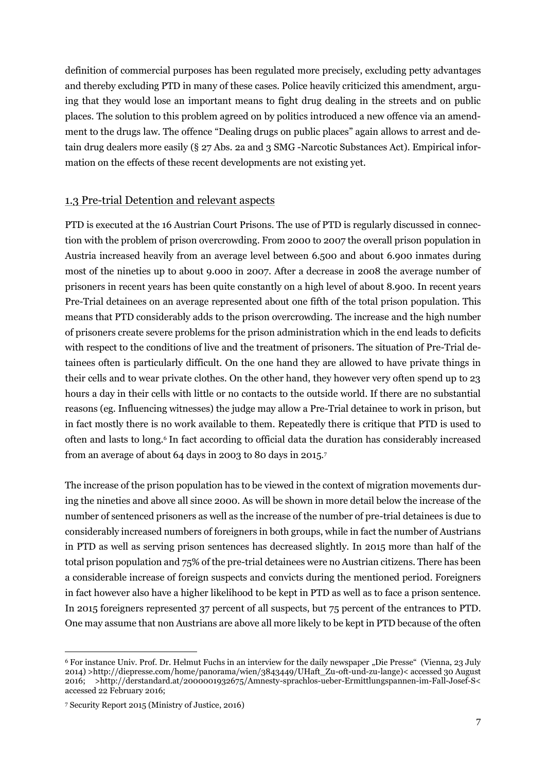definition of commercial purposes has been regulated more precisely, excluding petty advantages and thereby excluding PTD in many of these cases. Police heavily criticized this amendment, arguing that they would lose an important means to fight drug dealing in the streets and on public places. The solution to this problem agreed on by politics introduced a new offence via an amendment to the drugs law. The offence "Dealing drugs on public places" again allows to arrest and detain drug dealers more easily (§ 27 Abs. 2a and 3 SMG -Narcotic Substances Act). Empirical information on the effects of these recent developments are not existing yet.

#### <span id="page-6-0"></span>1.3 Pre-trial Detention and relevant aspects

PTD is executed at the 16 Austrian Court Prisons. The use of PTD is regularly discussed in connection with the problem of prison overcrowding. From 2000 to 2007 the overall prison population in Austria increased heavily from an average level between 6.500 and about 6.900 inmates during most of the nineties up to about 9.000 in 2007. After a decrease in 2008 the average number of prisoners in recent years has been quite constantly on a high level of about 8.900. In recent years Pre-Trial detainees on an average represented about one fifth of the total prison population. This means that PTD considerably adds to the prison overcrowding. The increase and the high number of prisoners create severe problems for the prison administration which in the end leads to deficits with respect to the conditions of live and the treatment of prisoners. The situation of Pre-Trial detainees often is particularly difficult. On the one hand they are allowed to have private things in their cells and to wear private clothes. On the other hand, they however very often spend up to 23 hours a day in their cells with little or no contacts to the outside world. If there are no substantial reasons (eg. Influencing witnesses) the judge may allow a Pre-Trial detainee to work in prison, but in fact mostly there is no work available to them. Repeatedly there is critique that PTD is used to often and lasts to long.<sup>6</sup> In fact according to official data the duration has considerably increased from an average of about 64 days in 2003 to 80 days in 2015.<sup>7</sup>

The increase of the prison population has to be viewed in the context of migration movements during the nineties and above all since 2000. As will be shown in more detail below the increase of the number of sentenced prisoners as well as the increase of the number of pre-trial detainees is due to considerably increased numbers of foreigners in both groups, while in fact the number of Austrians in PTD as well as serving prison sentences has decreased slightly. In 2015 more than half of the total prison population and 75% of the pre-trial detainees were no Austrian citizens. There has been a considerable increase of foreign suspects and convicts during the mentioned period. Foreigners in fact however also have a higher likelihood to be kept in PTD as well as to face a prison sentence. In 2015 foreigners represented 37 percent of all suspects, but 75 percent of the entrances to PTD. One may assume that non Austrians are above all more likely to be kept in PTD because of the often

<sup>&</sup>lt;sup>6</sup> For instance Univ. Prof. Dr. Helmut Fuchs in an interview for the daily newspaper "Die Presse" (Vienna, 23 July 2014) [>http://diepresse.com/home/panorama/wien/3843449/UHaft\\_Zu-oft-und-zu-lange\)](http://diepresse.com/home/panorama/wien/3843449/UHaft_Zu-oft-und-zu-lange)< accessed 30 August 2016; [>http://derstandard.at/2000001932675/Amnesty-sprachlos-ueber-Ermittlungspannen-im-Fall-Josef-S<](http://derstandard.at/2000001932675/Amnesty-sprachlos-ueber-Ermittlungspannen-im-Fall-Josef-S%3c) accessed 22 February 2016;

<sup>7</sup> Security Report 2015 (Ministry of Justice, 2016)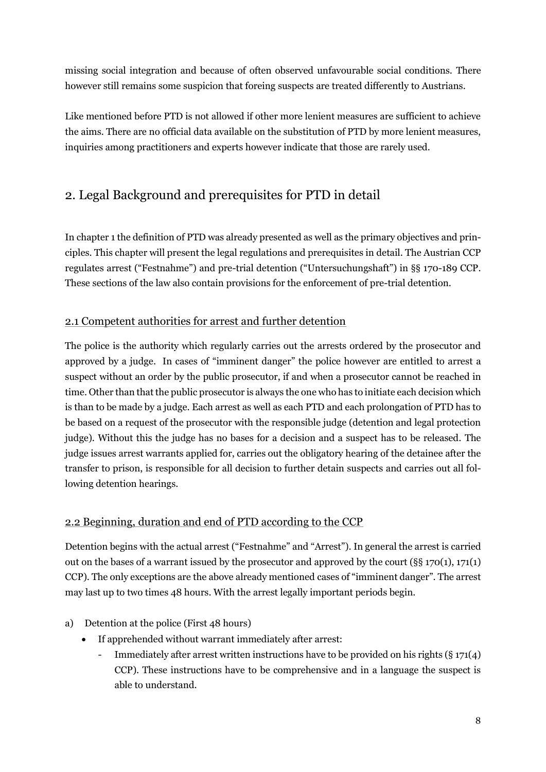missing social integration and because of often observed unfavourable social conditions. There however still remains some suspicion that foreing suspects are treated differently to Austrians.

Like mentioned before PTD is not allowed if other more lenient measures are sufficient to achieve the aims. There are no official data available on the substitution of PTD by more lenient measures, inquiries among practitioners and experts however indicate that those are rarely used.

## <span id="page-7-0"></span>2. Legal Background and prerequisites for PTD in detail

In chapter 1 the definition of PTD was already presented as well as the primary objectives and principles. This chapter will present the legal regulations and prerequisites in detail. The Austrian CCP regulates arrest ("Festnahme") and pre-trial detention ("Untersuchungshaft") in §§ 170-189 CCP. These sections of the law also contain provisions for the enforcement of pre-trial detention.

## <span id="page-7-1"></span>2.1 Competent authorities for arrest and further detention

The police is the authority which regularly carries out the arrests ordered by the prosecutor and approved by a judge. In cases of "imminent danger" the police however are entitled to arrest a suspect without an order by the public prosecutor, if and when a prosecutor cannot be reached in time. Other than that the public prosecutor is always the one who has to initiate each decision which is than to be made by a judge. Each arrest as well as each PTD and each prolongation of PTD has to be based on a request of the prosecutor with the responsible judge (detention and legal protection judge). Without this the judge has no bases for a decision and a suspect has to be released. The judge issues arrest warrants applied for, carries out the obligatory hearing of the detainee after the transfer to prison, is responsible for all decision to further detain suspects and carries out all following detention hearings.

## <span id="page-7-2"></span>2.2 Beginning, duration and end of PTD according to the CCP

Detention begins with the actual arrest ("Festnahme" and "Arrest"). In general the arrest is carried out on the bases of a warrant issued by the prosecutor and approved by the court ( $\S$ § 170(1), 171(1) CCP). The only exceptions are the above already mentioned cases of "imminent danger". The arrest may last up to two times 48 hours. With the arrest legally important periods begin.

- a) Detention at the police (First 48 hours)
	- If apprehended without warrant immediately after arrest:
		- Immediately after arrest written instructions have to be provided on his rights (§ 171(4) CCP). These instructions have to be comprehensive and in a language the suspect is able to understand.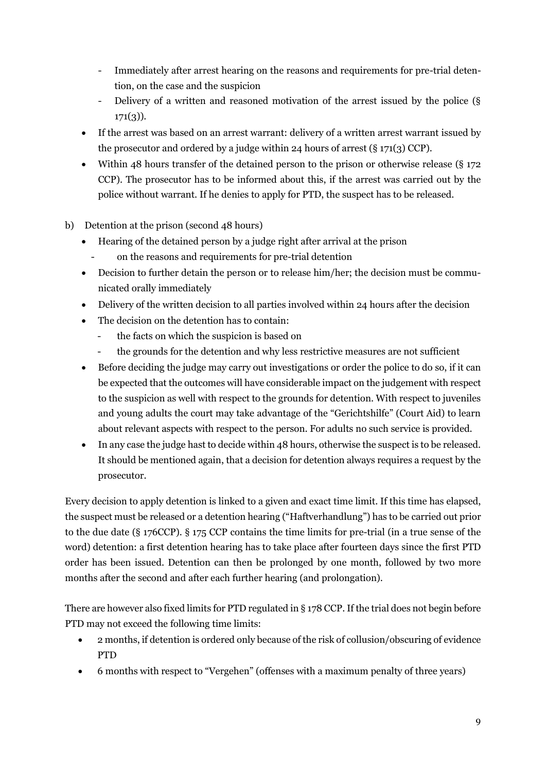- Immediately after arrest hearing on the reasons and requirements for pre-trial detention, on the case and the suspicion
- Delivery of a written and reasoned motivation of the arrest issued by the police (§  $171(3)$ ).
- If the arrest was based on an arrest warrant: delivery of a written arrest warrant issued by the prosecutor and ordered by a judge within 24 hours of arrest (§ 171(3) CCP).
- Within 48 hours transfer of the detained person to the prison or otherwise release ( $\S$  172 CCP). The prosecutor has to be informed about this, if the arrest was carried out by the police without warrant. If he denies to apply for PTD, the suspect has to be released.
- b) Detention at the prison (second 48 hours)
	- Hearing of the detained person by a judge right after arrival at the prison
	- on the reasons and requirements for pre-trial detention
	- Decision to further detain the person or to release him/her; the decision must be communicated orally immediately
	- Delivery of the written decision to all parties involved within 24 hours after the decision
	- The decision on the detention has to contain:
		- the facts on which the suspicion is based on
		- the grounds for the detention and why less restrictive measures are not sufficient
	- Before deciding the judge may carry out investigations or order the police to do so, if it can be expected that the outcomes will have considerable impact on the judgement with respect to the suspicion as well with respect to the grounds for detention. With respect to juveniles and young adults the court may take advantage of the "Gerichtshilfe" (Court Aid) to learn about relevant aspects with respect to the person. For adults no such service is provided.
	- In any case the judge hast to decide within 48 hours, otherwise the suspect is to be released. It should be mentioned again, that a decision for detention always requires a request by the prosecutor.

Every decision to apply detention is linked to a given and exact time limit. If this time has elapsed, the suspect must be released or a detention hearing ("Haftverhandlung") has to be carried out prior to the due date (§ 176CCP). § 175 CCP contains the time limits for pre-trial (in a true sense of the word) detention: a first detention hearing has to take place after fourteen days since the first PTD order has been issued. Detention can then be prolonged by one month, followed by two more months after the second and after each further hearing (and prolongation).

There are however also fixed limits for PTD regulated in § 178 CCP. If the trial does not begin before PTD may not exceed the following time limits:

- 2 months, if detention is ordered only because of the risk of collusion/obscuring of evidence PTD
- 6 months with respect to "Vergehen" (offenses with a maximum penalty of three years)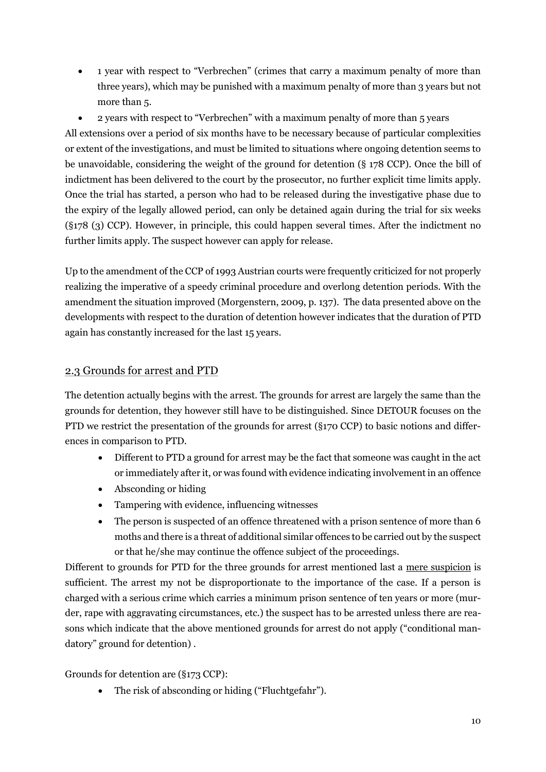- 1 year with respect to "Verbrechen" (crimes that carry a maximum penalty of more than three years), which may be punished with a maximum penalty of more than 3 years but not more than 5.
- 2 years with respect to "Verbrechen" with a maximum penalty of more than 5 years

All extensions over a period of six months have to be necessary because of particular complexities or extent of the investigations, and must be limited to situations where ongoing detention seems to be unavoidable, considering the weight of the ground for detention (§ 178 CCP). Once the bill of indictment has been delivered to the court by the prosecutor, no further explicit time limits apply. Once the trial has started, a person who had to be released during the investigative phase due to the expiry of the legally allowed period, can only be detained again during the trial for six weeks (§178 (3) CCP). However, in principle, this could happen several times. After the indictment no further limits apply. The suspect however can apply for release.

Up to the amendment of the CCP of 1993 Austrian courts were frequently criticized for not properly realizing the imperative of a speedy criminal procedure and overlong detention periods. With the amendment the situation improved (Morgenstern, 2009, p. 137). The data presented above on the developments with respect to the duration of detention however indicates that the duration of PTD again has constantly increased for the last 15 years.

## <span id="page-9-0"></span>2.3 Grounds for arrest and PTD

The detention actually begins with the arrest. The grounds for arrest are largely the same than the grounds for detention, they however still have to be distinguished. Since DETOUR focuses on the PTD we restrict the presentation of the grounds for arrest (§170 CCP) to basic notions and differences in comparison to PTD.

- Different to PTD a ground for arrest may be the fact that someone was caught in the act or immediately after it, or was found with evidence indicating involvement in an offence
- Absconding or hiding
- Tampering with evidence, influencing witnesses
- The person is suspected of an offence threatened with a prison sentence of more than 6 moths and there is a threat of additional similar offences to be carried out by the suspect or that he/she may continue the offence subject of the proceedings.

Different to grounds for PTD for the three grounds for arrest mentioned last a mere suspicion is sufficient. The arrest my not be disproportionate to the importance of the case. If a person is charged with a serious crime which carries a minimum prison sentence of ten years or more (murder, rape with aggravating circumstances, etc.) the suspect has to be arrested unless there are reasons which indicate that the above mentioned grounds for arrest do not apply ("conditional mandatory" ground for detention) .

Grounds for detention are (§173 CCP):

The risk of absconding or hiding ("Fluchtgefahr").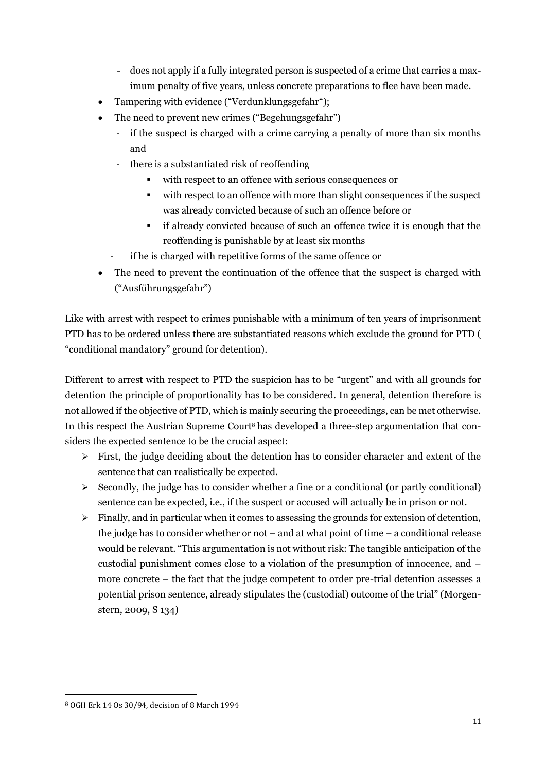- does not apply if a fully integrated person is suspected of a crime that carries a maximum penalty of five years, unless concrete preparations to flee have been made.
- Tampering with evidence ("Verdunklungsgefahr");
- The need to prevent new crimes ("Begehungsgefahr")
	- if the suspect is charged with a crime carrying a penalty of more than six months and
	- there is a substantiated risk of reoffending
		- with respect to an offence with serious consequences or
		- with respect to an offence with more than slight consequences if the suspect was already convicted because of such an offence before or
		- if already convicted because of such an offence twice it is enough that the reoffending is punishable by at least six months
	- if he is charged with repetitive forms of the same offence or
- The need to prevent the continuation of the offence that the suspect is charged with ("Ausführungsgefahr")

Like with arrest with respect to crimes punishable with a minimum of ten years of imprisonment PTD has to be ordered unless there are substantiated reasons which exclude the ground for PTD ( "conditional mandatory" ground for detention).

Different to arrest with respect to PTD the suspicion has to be "urgent" and with all grounds for detention the principle of proportionality has to be considered. In general, detention therefore is not allowed if the objective of PTD, which is mainly securing the proceedings, can be met otherwise. In this respect the Austrian Supreme Court<sup>8</sup> has developed a three-step argumentation that considers the expected sentence to be the crucial aspect:

- $\triangleright$  First, the judge deciding about the detention has to consider character and extent of the sentence that can realistically be expected.
- $\geq$  Secondly, the judge has to consider whether a fine or a conditional (or partly conditional) sentence can be expected, i.e., if the suspect or accused will actually be in prison or not.
- $\triangleright$  Finally, and in particular when it comes to assessing the grounds for extension of detention, the judge has to consider whether or not – and at what point of time – a conditional release would be relevant. "This argumentation is not without risk: The tangible anticipation of the custodial punishment comes close to a violation of the presumption of innocence, and – more concrete – the fact that the judge competent to order pre-trial detention assesses a potential prison sentence, already stipulates the (custodial) outcome of the trial" (Morgenstern, 2009, S 134)

<sup>8</sup> OGH Erk 14 Os 30/94, decision of 8 March 1994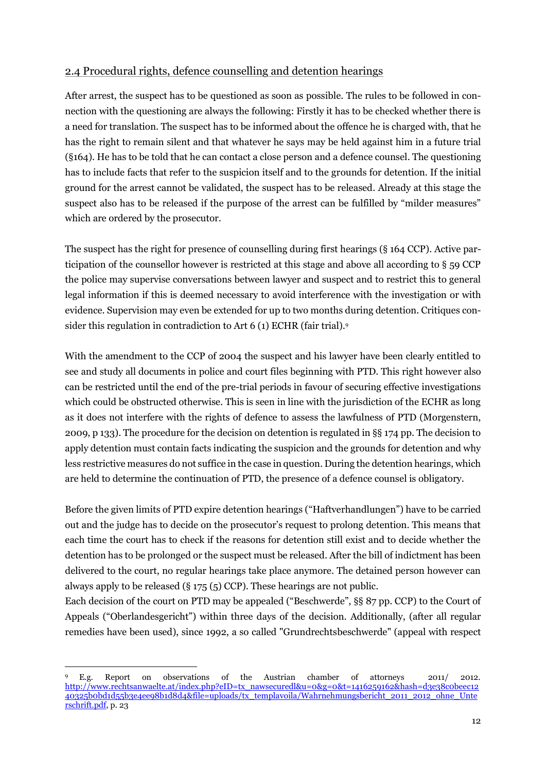## <span id="page-11-0"></span>2.4 Procedural rights, defence counselling and detention hearings

After arrest, the suspect has to be questioned as soon as possible. The rules to be followed in connection with the questioning are always the following: Firstly it has to be checked whether there is a need for translation. The suspect has to be informed about the offence he is charged with, that he has the right to remain silent and that whatever he says may be held against him in a future trial (§164). He has to be told that he can contact a close person and a defence counsel. The questioning has to include facts that refer to the suspicion itself and to the grounds for detention. If the initial ground for the arrest cannot be validated, the suspect has to be released. Already at this stage the suspect also has to be released if the purpose of the arrest can be fulfilled by "milder measures" which are ordered by the prosecutor.

The suspect has the right for presence of counselling during first hearings (§ 164 CCP). Active participation of the counsellor however is restricted at this stage and above all according to § 59 CCP the police may supervise conversations between lawyer and suspect and to restrict this to general legal information if this is deemed necessary to avoid interference with the investigation or with evidence. Supervision may even be extended for up to two months during detention. Critiques consider this regulation in contradiction to Art 6 (1) ECHR (fair trial).9

With the amendment to the CCP of 2004 the suspect and his lawyer have been clearly entitled to see and study all documents in police and court files beginning with PTD. This right however also can be restricted until the end of the pre-trial periods in favour of securing effective investigations which could be obstructed otherwise. This is seen in line with the jurisdiction of the ECHR as long as it does not interfere with the rights of defence to assess the lawfulness of PTD (Morgenstern, 2009, p 133). The procedure for the decision on detention is regulated in §§ 174 pp. The decision to apply detention must contain facts indicating the suspicion and the grounds for detention and why less restrictive measures do not suffice in the case in question. During the detention hearings, which are held to determine the continuation of PTD, the presence of a defence counsel is obligatory.

Before the given limits of PTD expire detention hearings ("Haftverhandlungen") have to be carried out and the judge has to decide on the prosecutor's request to prolong detention. This means that each time the court has to check if the reasons for detention still exist and to decide whether the detention has to be prolonged or the suspect must be released. After the bill of indictment has been delivered to the court, no regular hearings take place anymore. The detained person however can always apply to be released (§ 175 (5) CCP). These hearings are not public.

Each decision of the court on PTD may be appealed ("Beschwerde", §§ 87 pp. CCP) to the Court of Appeals ("Oberlandesgericht") within three days of the decision. Additionally, (after all regular remedies have been used), since 1992, a so called "Grundrechtsbeschwerde" (appeal with respect

<sup>9</sup> E.g. Report on observations of the Austrian chamber of attorneys 2011/ 2012. [http://www.rechtsanwaelte.at/index.php?eID=tx\\_nawsecuredl&u=0&g=0&t=1416259162&hash=d3e38c0beec12](http://www.rechtsanwaelte.at/index.php?eID=tx_nawsecuredl&u=0&g=0&t=1416259162&hash=d3e38c0beec1240325b0bd1d55b3e4ee98b1d8d4&file=uploads/tx_templavoila/Wahrnehmungsbericht_2011_2012_ohne_Unterschrift.pdf) [40325b0bd1d55b3e4ee98b1d8d4&file=uploads/tx\\_templavoila/Wahrnehmungsbericht\\_2011\\_2012\\_ohne\\_Unte](http://www.rechtsanwaelte.at/index.php?eID=tx_nawsecuredl&u=0&g=0&t=1416259162&hash=d3e38c0beec1240325b0bd1d55b3e4ee98b1d8d4&file=uploads/tx_templavoila/Wahrnehmungsbericht_2011_2012_ohne_Unterschrift.pdf) [rschrift.pdf,](http://www.rechtsanwaelte.at/index.php?eID=tx_nawsecuredl&u=0&g=0&t=1416259162&hash=d3e38c0beec1240325b0bd1d55b3e4ee98b1d8d4&file=uploads/tx_templavoila/Wahrnehmungsbericht_2011_2012_ohne_Unterschrift.pdf) p. 23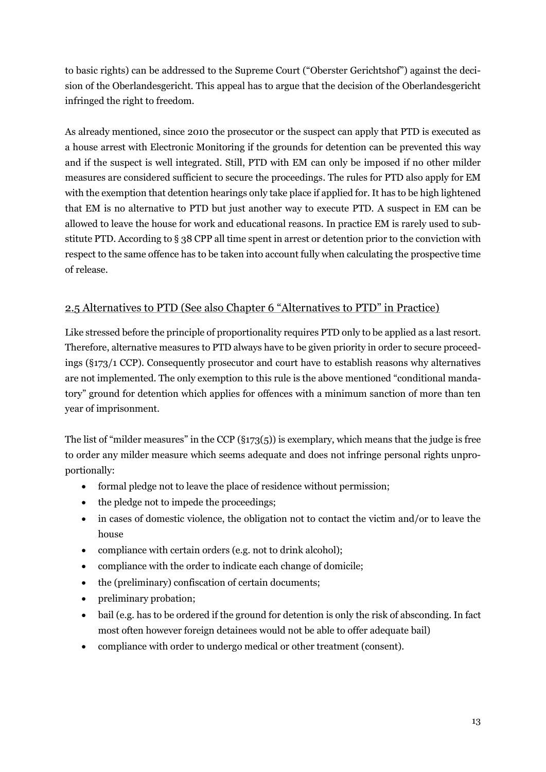to basic rights) can be addressed to the Supreme Court ("Oberster Gerichtshof") against the decision of the Oberlandesgericht. This appeal has to argue that the decision of the Oberlandesgericht infringed the right to freedom.

As already mentioned, since 2010 the prosecutor or the suspect can apply that PTD is executed as a house arrest with Electronic Monitoring if the grounds for detention can be prevented this way and if the suspect is well integrated. Still, PTD with EM can only be imposed if no other milder measures are considered sufficient to secure the proceedings. The rules for PTD also apply for EM with the exemption that detention hearings only take place if applied for. It has to be high lightened that EM is no alternative to PTD but just another way to execute PTD. A suspect in EM can be allowed to leave the house for work and educational reasons. In practice EM is rarely used to substitute PTD. According to § 38 CPP all time spent in arrest or detention prior to the conviction with respect to the same offence has to be taken into account fully when calculating the prospective time of release.

## <span id="page-12-0"></span>2.5 Alternatives to PTD (See also Chapter 6 "Alternatives to PTD" in Practice)

Like stressed before the principle of proportionality requires PTD only to be applied as a last resort. Therefore, alternative measures to PTD always have to be given priority in order to secure proceedings (§173/1 CCP). Consequently prosecutor and court have to establish reasons why alternatives are not implemented. The only exemption to this rule is the above mentioned "conditional mandatory" ground for detention which applies for offences with a minimum sanction of more than ten year of imprisonment.

The list of "milder measures" in the CCP (§173(5)) is exemplary, which means that the judge is free to order any milder measure which seems adequate and does not infringe personal rights unproportionally:

- formal pledge not to leave the place of residence without permission;
- the pledge not to impede the proceedings;
- in cases of domestic violence, the obligation not to contact the victim and/or to leave the house
- compliance with certain orders (e.g. not to drink alcohol);
- compliance with the order to indicate each change of domicile;
- the (preliminary) confiscation of certain documents;
- preliminary probation;
- bail (e.g. has to be ordered if the ground for detention is only the risk of absconding. In fact most often however foreign detainees would not be able to offer adequate bail)
- compliance with order to undergo medical or other treatment (consent).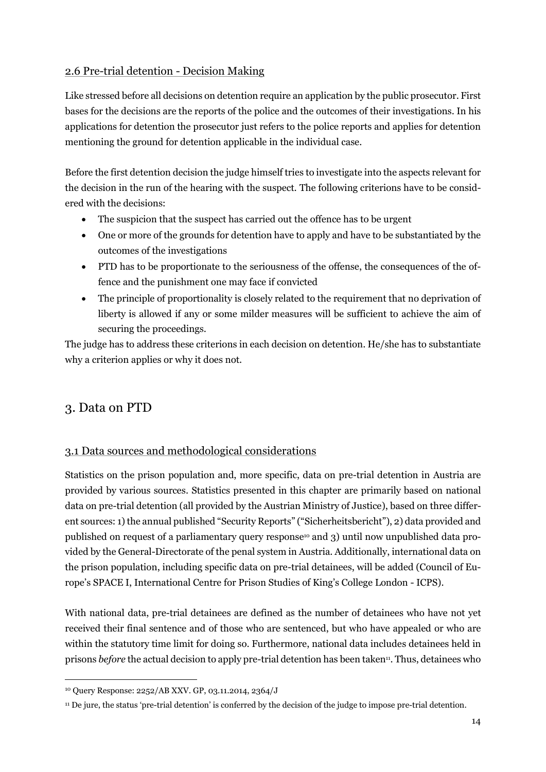## <span id="page-13-0"></span>2.6 Pre-trial detention - Decision Making

Like stressed before all decisions on detention require an application by the public prosecutor. First bases for the decisions are the reports of the police and the outcomes of their investigations. In his applications for detention the prosecutor just refers to the police reports and applies for detention mentioning the ground for detention applicable in the individual case.

Before the first detention decision the judge himself tries to investigate into the aspects relevant for the decision in the run of the hearing with the suspect. The following criterions have to be considered with the decisions:

- The suspicion that the suspect has carried out the offence has to be urgent
- One or more of the grounds for detention have to apply and have to be substantiated by the outcomes of the investigations
- PTD has to be proportionate to the seriousness of the offense, the consequences of the offence and the punishment one may face if convicted
- The principle of proportionality is closely related to the requirement that no deprivation of liberty is allowed if any or some milder measures will be sufficient to achieve the aim of securing the proceedings.

The judge has to address these criterions in each decision on detention. He/she has to substantiate why a criterion applies or why it does not.

## <span id="page-13-1"></span>3. Data on PTD

 $\overline{a}$ 

## <span id="page-13-2"></span>3.1 Data sources and methodological considerations

Statistics on the prison population and, more specific, data on pre-trial detention in Austria are provided by various sources. Statistics presented in this chapter are primarily based on national data on pre-trial detention (all provided by the Austrian Ministry of Justice), based on three different sources: 1) the annual published "Security Reports" ("Sicherheitsbericht"), 2) data provided and published on request of a parliamentary query response<sup>10</sup> and 3) until now unpublished data provided by the General-Directorate of the penal system in Austria. Additionally, international data on the prison population, including specific data on pre-trial detainees, will be added (Council of Europe's SPACE I, International Centre for Prison Studies of King's College London - ICPS).

With national data, pre-trial detainees are defined as the number of detainees who have not yet received their final sentence and of those who are sentenced, but who have appealed or who are within the statutory time limit for doing so. Furthermore, national data includes detainees held in prisons *before* the actual decision to apply pre-trial detention has been taken<sup>11</sup>. Thus, detainees who

<sup>10</sup> Query Response: 2252/AB XXV. GP, 03.11.2014, 2364/J

<sup>11</sup> De jure, the status 'pre-trial detention' is conferred by the decision of the judge to impose pre-trial detention.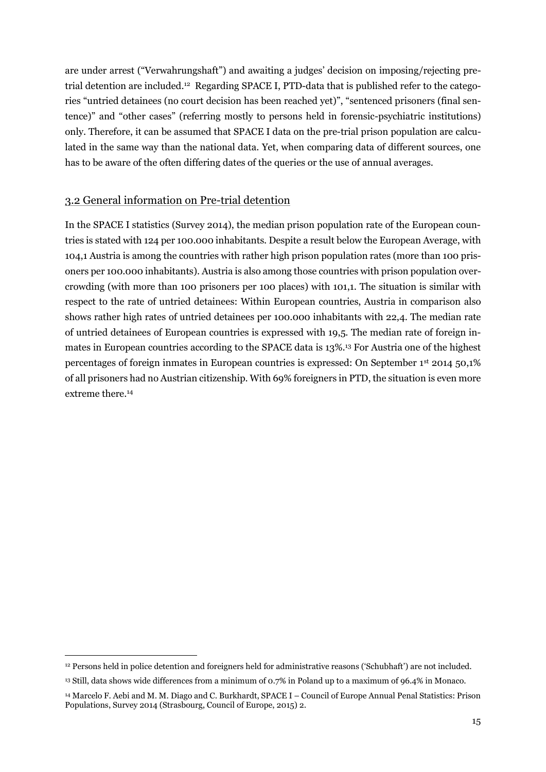are under arrest ("Verwahrungshaft") and awaiting a judges' decision on imposing/rejecting pretrial detention are included.<sup>12</sup> Regarding SPACE I, PTD-data that is published refer to the categories "untried detainees (no court decision has been reached yet)", "sentenced prisoners (final sentence)" and "other cases" (referring mostly to persons held in forensic-psychiatric institutions) only. Therefore, it can be assumed that SPACE I data on the pre-trial prison population are calculated in the same way than the national data. Yet, when comparing data of different sources, one has to be aware of the often differing dates of the queries or the use of annual averages.

## <span id="page-14-0"></span>3.2 General information on Pre-trial detention

 $\overline{a}$ 

In the SPACE I statistics (Survey 2014), the median prison population rate of the European countries is stated with 124 per 100.000 inhabitants. Despite a result below the European Average, with 104,1 Austria is among the countries with rather high prison population rates (more than 100 prisoners per 100.000 inhabitants). Austria is also among those countries with prison population overcrowding (with more than 100 prisoners per 100 places) with 101,1. The situation is similar with respect to the rate of untried detainees: Within European countries, Austria in comparison also shows rather high rates of untried detainees per 100.000 inhabitants with 22,4. The median rate of untried detainees of European countries is expressed with 19,5. The median rate of foreign inmates in European countries according to the SPACE data is 13%.<sup>13</sup> For Austria one of the highest percentages of foreign inmates in European countries is expressed: On September 1st 2014 50,1% of all prisoners had no Austrian citizenship. With 69% foreigners in PTD, the situation is even more extreme there. 14

<sup>12</sup> Persons held in police detention and foreigners held for administrative reasons ('Schubhaft') are not included.

<sup>13</sup> Still, data shows wide differences from a minimum of 0.7% in Poland up to a maximum of 96.4% in Monaco.

<sup>14</sup> Marcelo F. Aebi and M. M. Diago and C. Burkhardt, SPACE I – Council of Europe Annual Penal Statistics: Prison Populations, Survey 2014 (Strasbourg, Council of Europe, 2015) 2.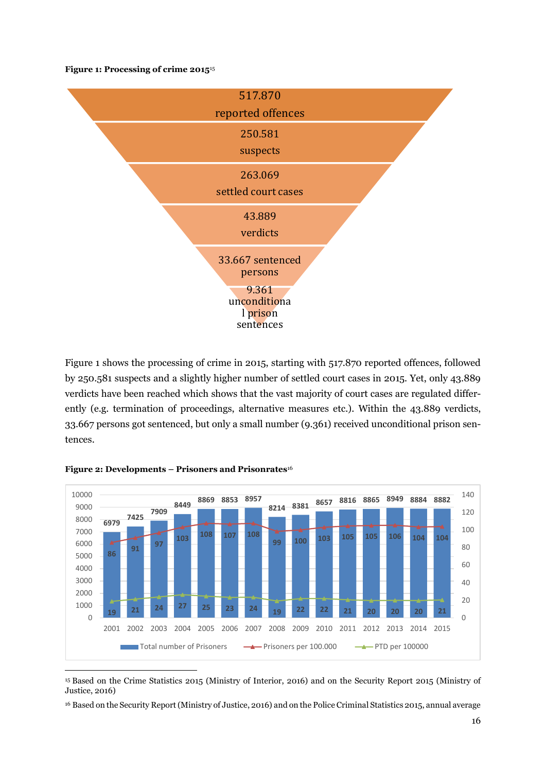**Figure 1: Processing of crime 2015**<sup>15</sup>



Figure 1 shows the processing of crime in 2015, starting with 517.870 reported offences, followed by 250.581 suspects and a slightly higher number of settled court cases in 2015. Yet, only 43.889 verdicts have been reached which shows that the vast majority of court cases are regulated differently (e.g. termination of proceedings, alternative measures etc.). Within the 43.889 verdicts, 33.667 persons got sentenced, but only a small number (9.361) received unconditional prison sentences.



#### **Figure 2: Developments – Prisoners and Prisonrates**<sup>16</sup>

 $\overline{a}$ 

<sup>15</sup> Based on the Crime Statistics 2015 (Ministry of Interior, 2016) and on the Security Report 2015 (Ministry of Justice, 2016)

<sup>16</sup> Based on the Security Report (Ministry of Justice, 2016) and on the Police Criminal Statistics 2015, annual average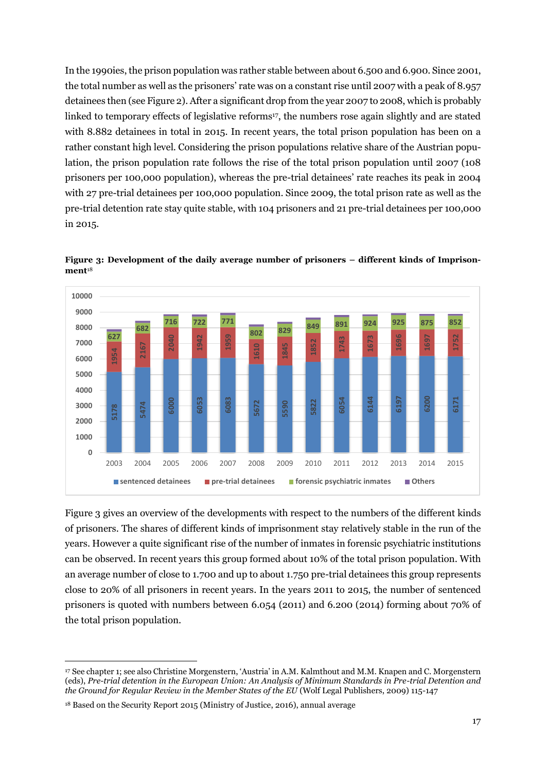In the 1990ies, the prison population was rather stable between about 6.500 and 6.900. Since 2001, the total number as well as the prisoners' rate was on a constant rise until 2007 with a peak of 8.957 detainees then (see Figure 2). After a significant drop from the year 2007 to 2008, which is probably linked to temporary effects of legislative reforms<sup>17</sup>, the numbers rose again slightly and are stated with 8.882 detainees in total in 2015. In recent years, the total prison population has been on a rather constant high level. Considering the prison populations relative share of the Austrian population, the prison population rate follows the rise of the total prison population until 2007 (108 prisoners per 100,000 population), whereas the pre-trial detainees' rate reaches its peak in 2004 with 27 pre-trial detainees per 100,000 population. Since 2009, the total prison rate as well as the pre-trial detention rate stay quite stable, with 104 prisoners and 21 pre-trial detainees per 100,000 in 2015.



**Figure 3: Development of the daily average number of prisoners – different kinds of Imprisonment**<sup>18</sup>

Figure 3 gives an overview of the developments with respect to the numbers of the different kinds of prisoners. The shares of different kinds of imprisonment stay relatively stable in the run of the years. However a quite significant rise of the number of inmates in forensic psychiatric institutions can be observed. In recent years this group formed about 10% of the total prison population. With an average number of close to 1.700 and up to about 1.750 pre-trial detainees this group represents close to 20% of all prisoners in recent years. In the years 2011 to 2015, the number of sentenced prisoners is quoted with numbers between 6.054 (2011) and 6.200 (2014) forming about 70% of the total prison population.

 See chapter 1; see also Christine Morgenstern, 'Austria' in A.M. Kalmthout and M.M. Knapen and C. Morgenstern (eds), *Pre-trial detention in the European Union: An Analysis of Minimum Standards in Pre-trial Detention and the Ground for Regular Review in the Member States of the EU* (Wolf Legal Publishers, 2009) 115-147

Based on the Security Report 2015 (Ministry of Justice, 2016), annual average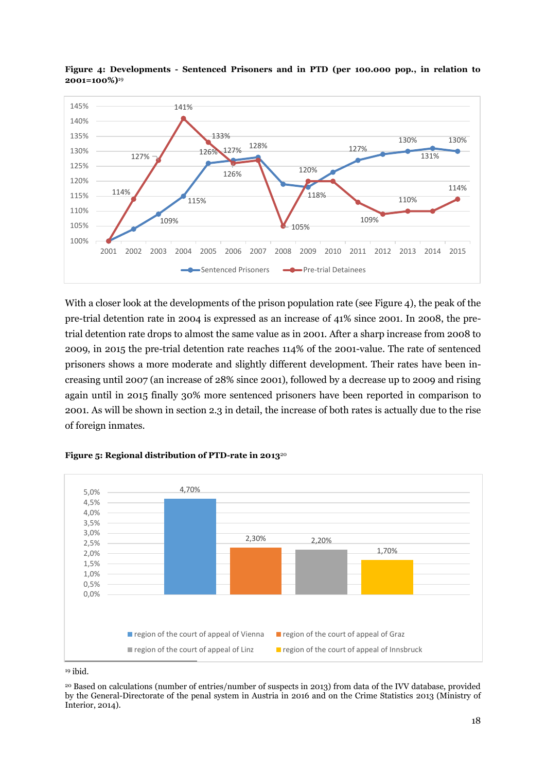

**Figure 4: Developments - Sentenced Prisoners and in PTD (per 100.000 pop., in relation to 2001=100%)**<sup>19</sup>

With a closer look at the developments of the prison population rate (see Figure 4), the peak of the pre-trial detention rate in 2004 is expressed as an increase of 41% since 2001. In 2008, the pretrial detention rate drops to almost the same value as in 2001. After a sharp increase from 2008 to 2009, in 2015 the pre-trial detention rate reaches 114% of the 2001-value. The rate of sentenced prisoners shows a more moderate and slightly different development. Their rates have been increasing until 2007 (an increase of 28% since 2001), followed by a decrease up to 2009 and rising again until in 2015 finally 30% more sentenced prisoners have been reported in comparison to 2001. As will be shown in section 2.3 in detail, the increase of both rates is actually due to the rise of foreign inmates.



## **Figure 5: Regional distribution of PTD-rate in 2013**<sup>20</sup>

<sup>19</sup> ibid.

<sup>20</sup> Based on calculations (number of entries/number of suspects in 2013) from data of the IVV database, provided by the General-Directorate of the penal system in Austria in 2016 and on the Crime Statistics 2013 (Ministry of Interior, 2014).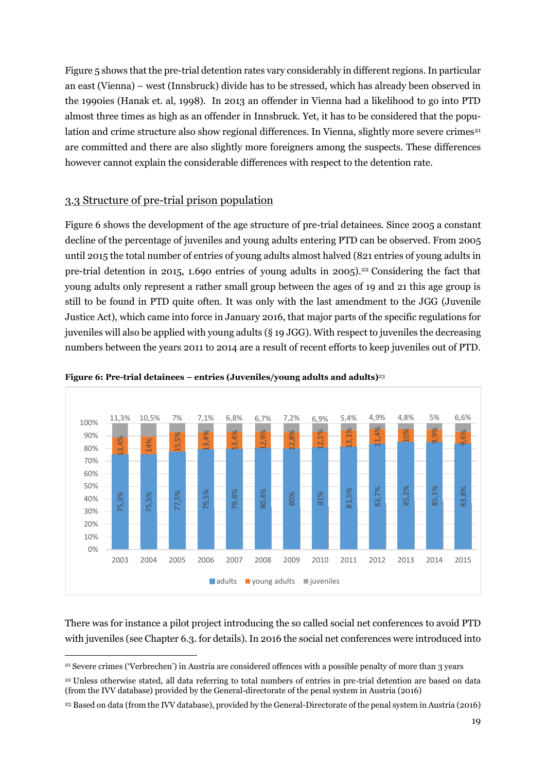Figure 5 shows that the pre-trial detention rates vary considerably in different regions. In particular an east (Vienna) – west (Innsbruck) divide has to be stressed, which has already been observed in the 1990ies (Hanak et. al, 1998). In 2013 an offender in Vienna had a likelihood to go into PTD almost three times as high as an offender in Innsbruck. Yet, it has to be considered that the population and crime structure also show regional differences. In Vienna, slightly more severe crimes<sup>21</sup> are committed and there are also slightly more foreigners among the suspects. These differences however cannot explain the considerable differences with respect to the detention rate.

## <span id="page-18-0"></span>3.3 Structure of pre-trial prison population

 $\overline{a}$ 

Figure 6 shows the development of the age structure of pre-trial detainees. Since 2005 a constant decline of the percentage of juveniles and young adults entering PTD can be observed. From 2005 until 2015 the total number of entries of young adults almost halved (821 entries of young adults in pre-trial detention in 2015, 1.690 entries of young adults in 2005). <sup>22</sup> Considering the fact that young adults only represent a rather small group between the ages of 19 and 21 this age group is still to be found in PTD quite often. It was only with the last amendment to the JGG (Juvenile Justice Act), which came into force in January 2016, that major parts of the specific regulations for juveniles will also be applied with young adults (§ 19 JGG). With respect to juveniles the decreasing numbers between the years 2011 to 2014 are a result of recent efforts to keep juveniles out of PTD.



#### **Figure 6: Pre-trial detainees – entries (Juveniles/young adults and adults)**<sup>23</sup>

There was for instance a pilot project introducing the so called social net conferences to avoid PTD with juveniles (see Chapter 6.3. for details). In 2016 the social net conferences were introduced into

<sup>21</sup> Severe crimes ('Verbrechen') in Austria are considered offences with a possible penalty of more than 3 years

<sup>22</sup> Unless otherwise stated, all data referring to total numbers of entries in pre-trial detention are based on data (from the IVV database) provided by the General-directorate of the penal system in Austria (2016)

<sup>23</sup> Based on data (from the IVV database), provided by the General-Directorate of the penal system in Austria (2016)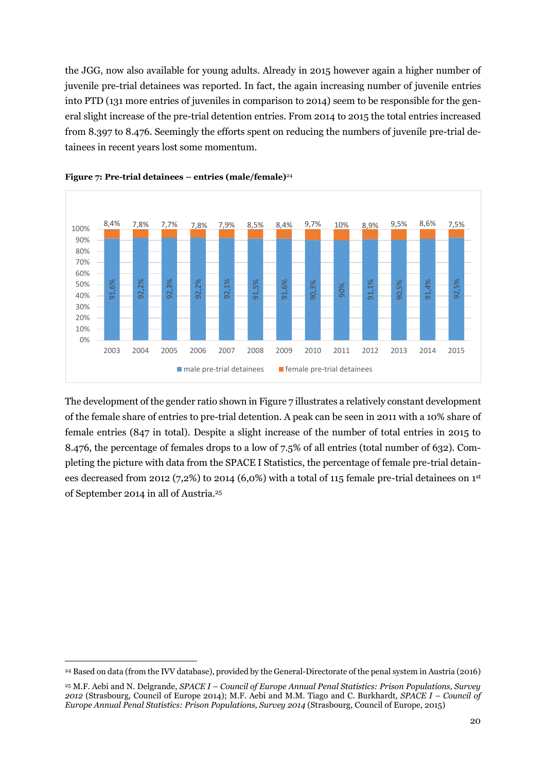the JGG, now also available for young adults. Already in 2015 however again a higher number of juvenile pre-trial detainees was reported. In fact, the again increasing number of juvenile entries into PTD (131 more entries of juveniles in comparison to 2014) seem to be responsible for the general slight increase of the pre-trial detention entries. From 2014 to 2015 the total entries increased from 8.397 to 8.476. Seemingly the efforts spent on reducing the numbers of juvenile pre-trial detainees in recent years lost some momentum.





The development of the gender ratio shown in Figure 7 illustrates a relatively constant development of the female share of entries to pre-trial detention. A peak can be seen in 2011 with a 10% share of female entries (847 in total). Despite a slight increase of the number of total entries in 2015 to 8.476, the percentage of females drops to a low of 7.5% of all entries (total number of 632). Completing the picture with data from the SPACE I Statistics, the percentage of female pre-trial detainees decreased from 2012 (7,2%) to 2014 (6,0%) with a total of 115 female pre-trial detainees on  $1<sup>st</sup>$ of September 2014 in all of Austria. 25

<sup>24</sup> Based on data (from the IVV database), provided by the General-Directorate of the penal system in Austria (2016)

<sup>25</sup> M.F. Aebi and N. Delgrande, *SPACE I – Council of Europe Annual Penal Statistics: Prison Populations, Survey 2012* (Strasbourg, Council of Europe 2014); M.F. Aebi and M.M. Tiago and C. Burkhardt, *SPACE I – Council of Europe Annual Penal Statistics: Prison Populations, Survey 2014* (Strasbourg, Council of Europe, 2015)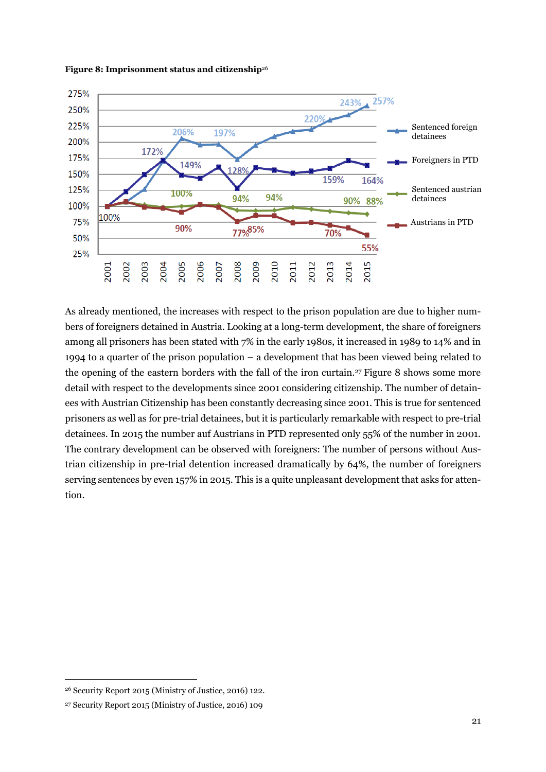



As already mentioned, the increases with respect to the prison population are due to higher numbers of foreigners detained in Austria. Looking at a long-term development, the share of foreigners among all prisoners has been stated with 7% in the early 1980s, it increased in 1989 to 14% and in 1994 to a quarter of the prison population – a development that has been viewed being related to the opening of the eastern borders with the fall of the iron curtain.<sup>27</sup> Figure 8 shows some more detail with respect to the developments since 2001 considering citizenship. The number of detainees with Austrian Citizenship has been constantly decreasing since 2001. This is true for sentenced prisoners as well as for pre-trial detainees, but it is particularly remarkable with respect to pre-trial detainees. In 2015 the number auf Austrians in PTD represented only 55% of the number in 2001. The contrary development can be observed with foreigners: The number of persons without Austrian citizenship in pre-trial detention increased dramatically by 64%, the number of foreigners serving sentences by even 157% in 2015. This is a quite unpleasant development that asks for attention.

<sup>26</sup> Security Report 2015 (Ministry of Justice, 2016) 122.

<sup>27</sup> Security Report 2015 (Ministry of Justice, 2016) 109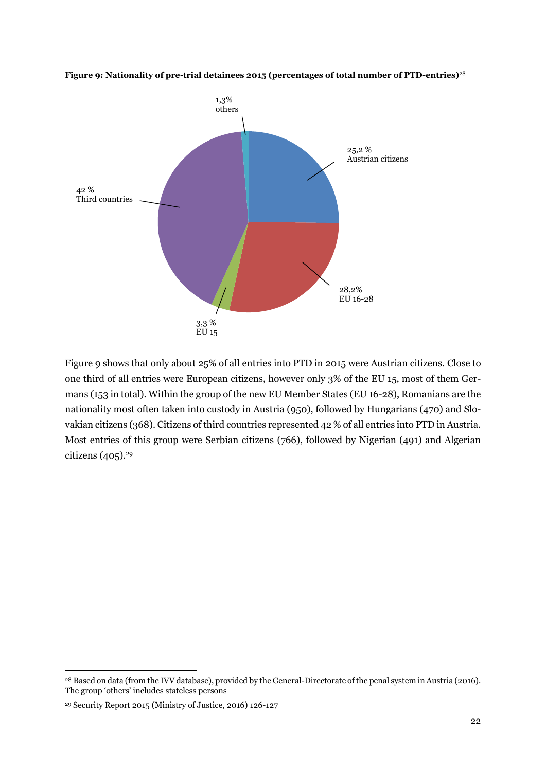#### **Figure 9: Nationality of pre-trial detainees 2015 (percentages of total number of PTD-entries)**<sup>28</sup>



Figure 9 shows that only about 25% of all entries into PTD in 2015 were Austrian citizens. Close to one third of all entries were European citizens, however only 3% of the EU 15, most of them Germans (153 in total). Within the group of the new EU Member States (EU 16-28), Romanians are the nationality most often taken into custody in Austria (950), followed by Hungarians (470) and Slovakian citizens (368). Citizens of third countries represented 42 % of all entries into PTD in Austria. Most entries of this group were Serbian citizens (766), followed by Nigerian (491) and Algerian citizens (405). 29

<sup>&</sup>lt;sup>28</sup> Based on data (from the IVV database), provided by the General-Directorate of the penal system in Austria (2016). The group 'others' includes stateless persons

<sup>29</sup> Security Report 2015 (Ministry of Justice, 2016) 126-127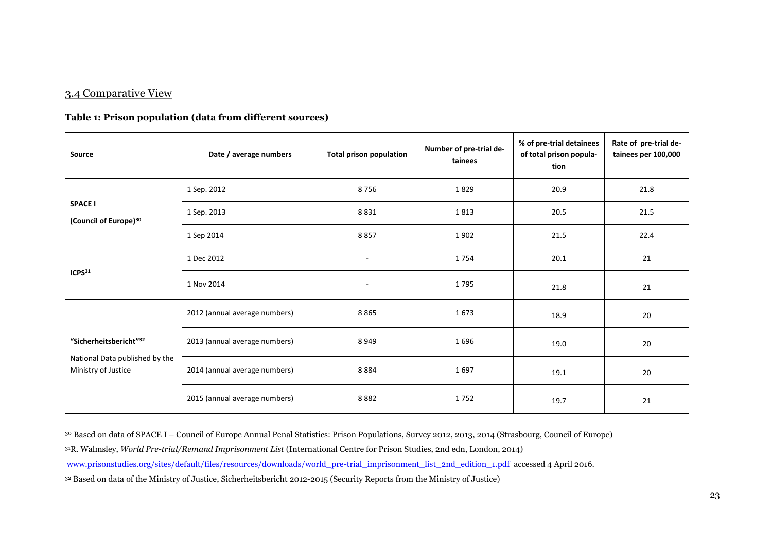### 3.4 Comparative View

<span id="page-22-0"></span> $\overline{a}$ 

#### **Table 1: Prison population (data from different sources)**

| <b>Source</b>                                                                               | Date / average numbers        | <b>Total prison population</b> | Number of pre-trial de-<br>tainees | % of pre-trial detainees<br>of total prison popula-<br>tion | Rate of pre-trial de-<br>tainees per 100,000 |
|---------------------------------------------------------------------------------------------|-------------------------------|--------------------------------|------------------------------------|-------------------------------------------------------------|----------------------------------------------|
| <b>SPACE I</b><br>(Council of Europe) <sup>30</sup>                                         | 1 Sep. 2012                   | 8756                           | 1829                               | 20.9                                                        | 21.8                                         |
|                                                                                             | 1 Sep. 2013                   | 8831                           | 1813                               | 20.5                                                        | 21.5                                         |
|                                                                                             | 1 Sep 2014                    | 8857                           | 1902                               | 21.5                                                        | 22.4                                         |
| ICPS31                                                                                      | 1 Dec 2012                    | $\overline{\phantom{a}}$       | 1754                               | 20.1                                                        | 21                                           |
|                                                                                             | 1 Nov 2014                    | $\overline{\phantom{a}}$       | 1795                               | 21.8                                                        | 21                                           |
| "Sicherheitsbericht" <sup>32</sup><br>National Data published by the<br>Ministry of Justice | 2012 (annual average numbers) | 8865                           | 1673                               | 18.9                                                        | 20                                           |
|                                                                                             | 2013 (annual average numbers) | 8949                           | 1696                               | 19.0                                                        | 20                                           |
|                                                                                             | 2014 (annual average numbers) | 8884                           | 1697                               | 19.1                                                        | 20                                           |
|                                                                                             | 2015 (annual average numbers) | 8882                           | 1752                               | 19.7                                                        | 21                                           |

<sup>30</sup> Based on data of SPACE I – Council of Europe Annual Penal Statistics: Prison Populations, Survey 2012, 2013, 2014 (Strasbourg, Council of Europe)

<sup>31</sup>R. Walmsley, *World Pre-trial/Remand Imprisonment List* (International Centre for Prison Studies, 2nd edn, London, 2014)

[www.prisonstudies.org/sites/default/files/resources/downloads/world\\_pre-trial\\_imprisonment\\_list\\_2nd\\_edition\\_1.pdf](http://www.prisonstudies.org/sites/default/files/resources/downloads/world_pre-trial_imprisonment_list_2nd_edition_1.pdf) accessed 4 April 2016.

<sup>32</sup> Based on data of the Ministry of Justice, Sicherheitsbericht 2012-2015 (Security Reports from the Ministry of Justice)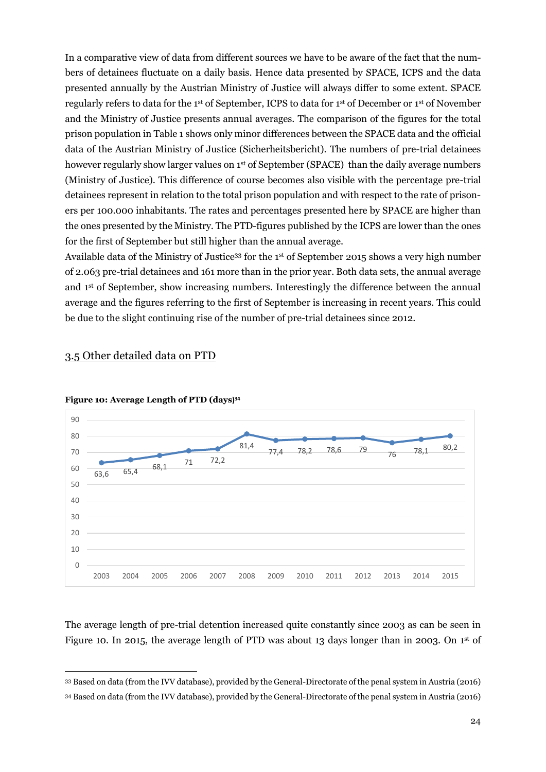In a comparative view of data from different sources we have to be aware of the fact that the numbers of detainees fluctuate on a daily basis. Hence data presented by SPACE, ICPS and the data presented annually by the Austrian Ministry of Justice will always differ to some extent. SPACE regularly refers to data for the 1st of September, ICPS to data for 1st of December or 1st of November and the Ministry of Justice presents annual averages. The comparison of the figures for the total prison population in Table 1 shows only minor differences between the SPACE data and the official data of the Austrian Ministry of Justice (Sicherheitsbericht). The numbers of pre-trial detainees however regularly show larger values on 1<sup>st</sup> of September (SPACE) than the daily average numbers (Ministry of Justice). This difference of course becomes also visible with the percentage pre-trial detainees represent in relation to the total prison population and with respect to the rate of prisoners per 100.000 inhabitants. The rates and percentages presented here by SPACE are higher than the ones presented by the Ministry. The PTD-figures published by the ICPS are lower than the ones for the first of September but still higher than the annual average.

Available data of the Ministry of Justice<sup>33</sup> for the 1<sup>st</sup> of September 2015 shows a very high number of 2.063 pre-trial detainees and 161 more than in the prior year. Both data sets, the annual average and 1st of September, show increasing numbers. Interestingly the difference between the annual average and the figures referring to the first of September is increasing in recent years. This could be due to the slight continuing rise of the number of pre-trial detainees since 2012.



### <span id="page-23-0"></span>3.5 Other detailed data on PTD

 $\overline{a}$ 

**Figure 10: Average Length of PTD (days) 34**

The average length of pre-trial detention increased quite constantly since 2003 as can be seen in Figure 10. In 2015, the average length of PTD was about 13 days longer than in 2003. On 1<sup>st</sup> of

<sup>33</sup> Based on data (from the IVV database), provided by the General-Directorate of the penal system in Austria (2016)

<sup>34</sup> Based on data (from the IVV database), provided by the General-Directorate of the penal system in Austria (2016)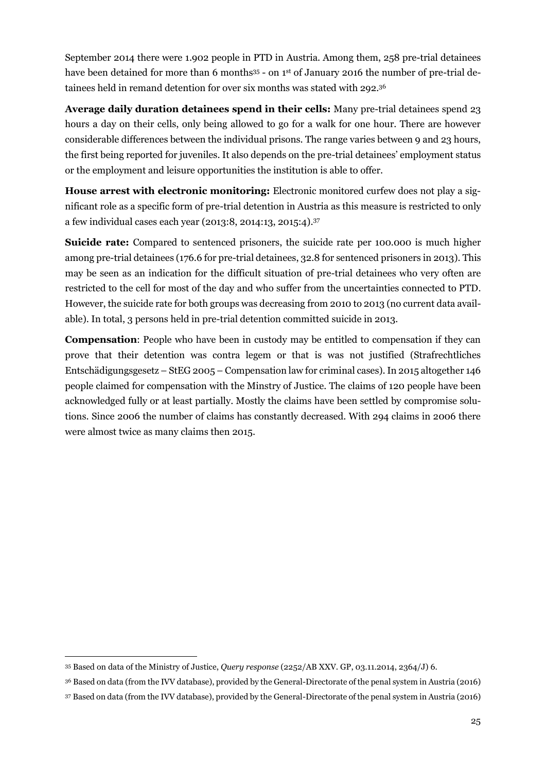September 2014 there were 1.902 people in PTD in Austria. Among them, 258 pre-trial detainees have been detained for more than 6 months<sup>35</sup> - on 1<sup>st</sup> of January 2016 the number of pre-trial detainees held in remand detention for over six months was stated with 292.<sup>36</sup>

**Average daily duration detainees spend in their cells:** Many pre-trial detainees spend 23 hours a day on their cells, only being allowed to go for a walk for one hour. There are however considerable differences between the individual prisons. The range varies between 9 and 23 hours, the first being reported for juveniles. It also depends on the pre-trial detainees' employment status or the employment and leisure opportunities the institution is able to offer.

**House arrest with electronic monitoring:** Electronic monitored curfew does not play a significant role as a specific form of pre-trial detention in Austria as this measure is restricted to only a few individual cases each year (2013:8, 2014:13, 2015:4). 37

**Suicide rate:** Compared to sentenced prisoners, the suicide rate per 100.000 is much higher among pre-trial detainees (176.6 for pre-trial detainees, 32.8 for sentenced prisoners in 2013). This may be seen as an indication for the difficult situation of pre-trial detainees who very often are restricted to the cell for most of the day and who suffer from the uncertainties connected to PTD. However, the suicide rate for both groups was decreasing from 2010 to 2013 (no current data available). In total, 3 persons held in pre-trial detention committed suicide in 2013.

**Compensation**: People who have been in custody may be entitled to compensation if they can prove that their detention was contra legem or that is was not justified (Strafrechtliches Entschädigungsgesetz – StEG 2005 – Compensation law for criminal cases). In 2015 altogether 146 people claimed for compensation with the Minstry of Justice. The claims of 120 people have been acknowledged fully or at least partially. Mostly the claims have been settled by compromise solutions. Since 2006 the number of claims has constantly decreased. With 294 claims in 2006 there were almost twice as many claims then 2015.

<sup>35</sup> Based on data of the Ministry of Justice, *Query response* (2252/AB XXV. GP, 03.11.2014, 2364/J) 6.

<sup>36</sup> Based on data (from the IVV database), provided by the General-Directorate of the penal system in Austria (2016)

<sup>37</sup> Based on data (from the IVV database), provided by the General-Directorate of the penal system in Austria (2016)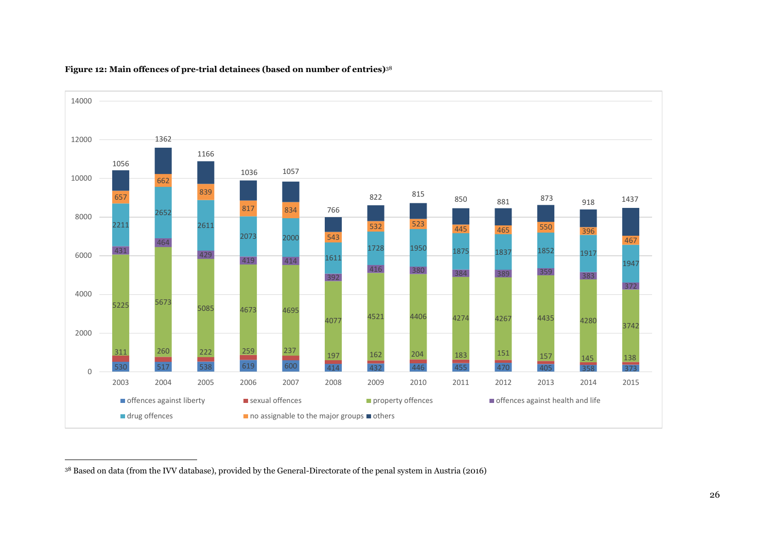

#### **Figure 12: Main offences of pre-trial detainees (based on number of entries)**<sup>38</sup>

-

Based on data (from the IVV database), provided by the General-Directorate of the penal system in Austria (2016)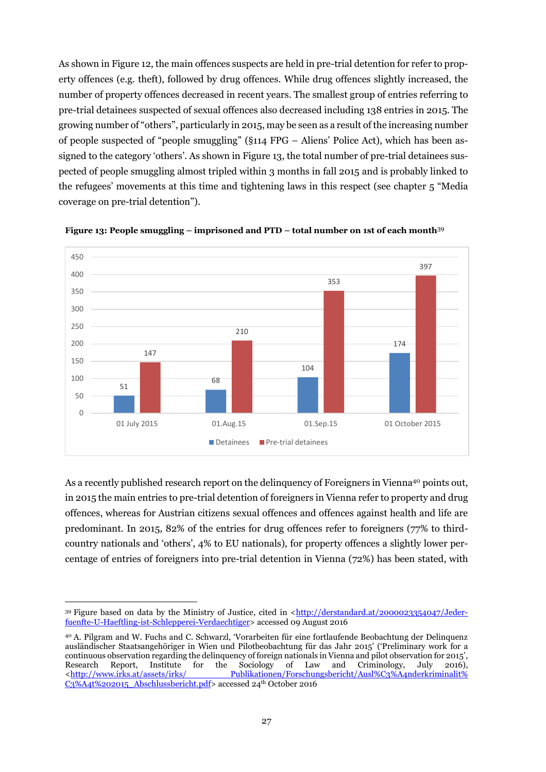As shown in Figure 12, the main offences suspects are held in pre-trial detention for refer to property offences (e.g. theft), followed by drug offences. While drug offences slightly increased, the number of property offences decreased in recent years. The smallest group of entries referring to pre-trial detainees suspected of sexual offences also decreased including 138 entries in 2015. The growing number of "others", particularly in 2015, may be seen as a result of the increasing number of people suspected of "people smuggling" (§114 FPG – Aliens' Police Act), which has been assigned to the category 'others'. As shown in Figure 13, the total number of pre-trial detainees suspected of people smuggling almost tripled within 3 months in fall 2015 and is probably linked to the refugees' movements at this time and tightening laws in this respect (see chapter 5 "Media coverage on pre-trial detention").



**Figure 13: People smuggling – imprisoned and PTD – total number on 1st of each month**<sup>39</sup>

As a recently published research report on the delinquency of Foreigners in Vienna<sup>40</sup> points out, in 2015 the main entries to pre-trial detention of foreigners in Vienna refer to property and drug offences, whereas for Austrian citizens sexual offences and offences against health and life are predominant. In 2015, 82% of the entries for drug offences refer to foreigners (77% to thirdcountry nationals and 'others', 4% to EU nationals), for property offences a slightly lower percentage of entries of foreigners into pre-trial detention in Vienna (72%) has been stated, with

<sup>39</sup> Figure based on data by the Ministry of Justice, cited in [<http://derstandard.at/2000023354047/Jeder](http://derstandard.at/2000023354047/Jeder-fuenfte-U-Haeftling-ist-Schlepperei-Verdaechtiger)[fuenfte-U-Haeftling-ist-Schlepperei-Verdaechtiger>](http://derstandard.at/2000023354047/Jeder-fuenfte-U-Haeftling-ist-Schlepperei-Verdaechtiger) accessed 09 August 2016

<sup>40</sup> A. Pilgram and W. Fuchs and C. Schwarzl, 'Vorarbeiten für eine fortlaufende Beobachtung der Delinquenz ausländischer Staatsangehöriger in Wien und Pilotbeobachtung für das Jahr 2015' ('Preliminary work for a continuous observation regarding the delinquency of foreign nationals in Vienna and pilot observation for 2015', Research Report, Institute for the Sociology of Law and Criminology, July 2016), [<http://www.irks.at/assets/irks/ Publikationen/Forschungsbericht/Ausl%C3%A4nderkriminalit%](http://www.irks.at/assets/irks/%20Publikationen/Forschungsbericht/Ausl%C3%A4nderkriminalit%25%20C3%A4t%202015_Abschlussbericht.pdf)  [C3%A4t%202015\\_Abschlussbericht.pdf>](http://www.irks.at/assets/irks/%20Publikationen/Forschungsbericht/Ausl%C3%A4nderkriminalit%25%20C3%A4t%202015_Abschlussbericht.pdf) accessed 24<sup>th</sup> October 2016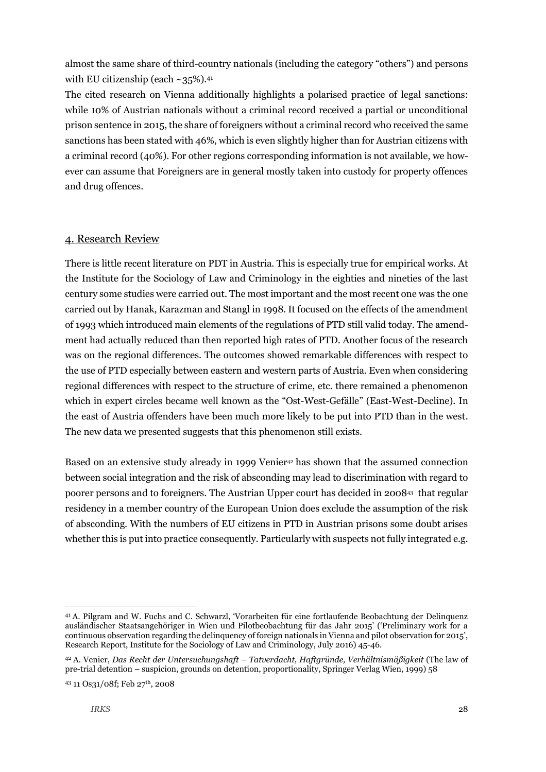almost the same share of third-country nationals (including the category "others") and persons with EU citizenship (each ~35%). 41

The cited research on Vienna additionally highlights a polarised practice of legal sanctions: while 10% of Austrian nationals without a criminal record received a partial or unconditional prison sentence in 2015, the share of foreigners without a criminal record who received the same sanctions has been stated with 46%, which is even slightly higher than for Austrian citizens with a criminal record (40%). For other regions corresponding information is not available, we however can assume that Foreigners are in general mostly taken into custody for property offences and drug offences.

### <span id="page-27-0"></span>4. Research Review

There is little recent literature on PDT in Austria. This is especially true for empirical works. At the Institute for the Sociology of Law and Criminology in the eighties and nineties of the last century some studies were carried out. The most important and the most recent one was the one carried out by Hanak, Karazman and Stangl in 1998. It focused on the effects of the amendment of 1993 which introduced main elements of the regulations of PTD still valid today. The amendment had actually reduced than then reported high rates of PTD. Another focus of the research was on the regional differences. The outcomes showed remarkable differences with respect to the use of PTD especially between eastern and western parts of Austria. Even when considering regional differences with respect to the structure of crime, etc. there remained a phenomenon which in expert circles became well known as the "Ost-West-Gefälle" (East-West-Decline). In the east of Austria offenders have been much more likely to be put into PTD than in the west. The new data we presented suggests that this phenomenon still exists.

Based on an extensive study already in 1999 Venier<sup>42</sup> has shown that the assumed connection between social integration and the risk of absconding may lead to discrimination with regard to poorer persons and to foreigners. The Austrian Upper court has decided in 2008<sup>43</sup> that regular residency in a member country of the European Union does exclude the assumption of the risk of absconding. With the numbers of EU citizens in PTD in Austrian prisons some doubt arises whether this is put into practice consequently. Particularly with suspects not fully integrated e.g.

<sup>41</sup> A. Pilgram and W. Fuchs and C. Schwarzl, 'Vorarbeiten für eine fortlaufende Beobachtung der Delinquenz ausländischer Staatsangehöriger in Wien und Pilotbeobachtung für das Jahr 2015' ('Preliminary work for a continuous observation regarding the delinquency of foreign nationals in Vienna and pilot observation for 2015', Research Report, Institute for the Sociology of Law and Criminology, July 2016) 45-46.

<sup>42</sup> A. Venier, *Das Recht der Untersuchungshaft – Tatverdacht, Haftgründe, Verhältnismäßigkeit* (The law of pre-trial detention – suspicion, grounds on detention, proportionality, Springer Verlag Wien, 1999) 58

<sup>43</sup> 11 Os31/08f; Feb 27th, 2008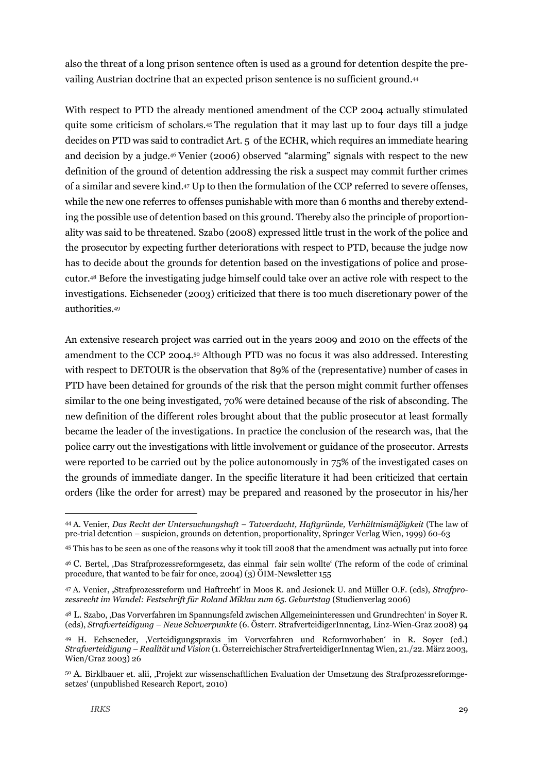also the threat of a long prison sentence often is used as a ground for detention despite the prevailing Austrian doctrine that an expected prison sentence is no sufficient ground. 44

With respect to PTD the already mentioned amendment of the CCP 2004 actually stimulated quite some criticism of scholars.<sup>45</sup> The regulation that it may last up to four days till a judge decides on PTD was said to contradict Art. 5 of the ECHR, which requires an immediate hearing and decision by a judge. <sup>46</sup> Venier (2006) observed "alarming" signals with respect to the new definition of the ground of detention addressing the risk a suspect may commit further crimes of a similar and severe kind.<sup>47</sup> Up to then the formulation of the CCP referred to severe offenses, while the new one referres to offenses punishable with more than 6 months and thereby extending the possible use of detention based on this ground. Thereby also the principle of proportionality was said to be threatened. Szabo (2008) expressed little trust in the work of the police and the prosecutor by expecting further deteriorations with respect to PTD, because the judge now has to decide about the grounds for detention based on the investigations of police and prosecutor.<sup>48</sup> Before the investigating judge himself could take over an active role with respect to the investigations. Eichseneder (2003) criticized that there is too much discretionary power of the authorities.<sup>49</sup>

An extensive research project was carried out in the years 2009 and 2010 on the effects of the amendment to the CCP 2004. <sup>50</sup> Although PTD was no focus it was also addressed. Interesting with respect to DETOUR is the observation that 89% of the (representative) number of cases in PTD have been detained for grounds of the risk that the person might commit further offenses similar to the one being investigated, 70% were detained because of the risk of absconding. The new definition of the different roles brought about that the public prosecutor at least formally became the leader of the investigations. In practice the conclusion of the research was, that the police carry out the investigations with little involvement or guidance of the prosecutor. Arrests were reported to be carried out by the police autonomously in 75% of the investigated cases on the grounds of immediate danger. In the specific literature it had been criticized that certain orders (like the order for arrest) may be prepared and reasoned by the prosecutor in his/her

<sup>44</sup> A. Venier, *Das Recht der Untersuchungshaft – Tatverdacht, Haftgründe, Verhältnismäßigkeit* (The law of pre-trial detention – suspicion, grounds on detention, proportionality, Springer Verlag Wien, 1999) 60-63

<sup>45</sup> This has to be seen as one of the reasons why it took till 2008 that the amendment was actually put into force

<sup>46</sup> C. Bertel, 'Das Strafprozessreformgesetz, das einmal fair sein wollte' (The reform of the code of criminal procedure, that wanted to be fair for once, 2004) (3) ÖIM-Newsletter 155

<sup>47</sup> A. Venier, 'Strafprozessreform und Haftrecht' in Moos R. and Jesionek U. and Müller O.F. (eds), *Strafprozessrecht im Wandel: Festschrift für Roland Miklau zum 65. Geburtstag* (Studienverlag 2006)

<sup>48</sup> L. Szabo, 'Das Vorverfahren im Spannungsfeld zwischen Allgemeininteressen und Grundrechten' in Soyer R. (eds), *Strafverteidigung – Neue Schwerpunkte* (6. Österr. StrafverteidigerInnentag, Linz-Wien-Graz 2008) 94

<sup>49</sup> H. Echseneder, 'Verteidigungspraxis im Vorverfahren und Reformvorhaben' in R. Soyer (ed.) *Strafverteidigung – Realität und Vision* (1. Österreichischer StrafverteidigerInnentag Wien, 21./22. März 2003, Wien/Graz 2003) 26

<sup>50</sup> A. Birklbauer et. alii, 'Projekt zur wissenschaftlichen Evaluation der Umsetzung des Strafprozessreformgesetzes' (unpublished Research Report, 2010)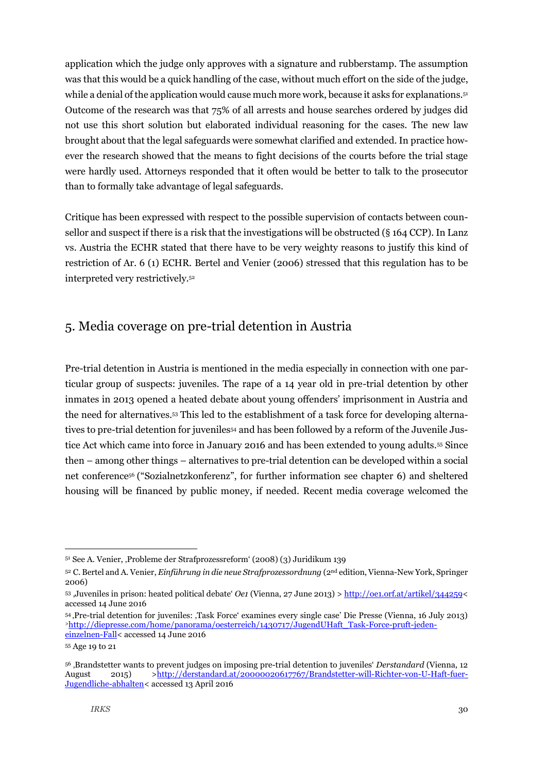application which the judge only approves with a signature and rubberstamp. The assumption was that this would be a quick handling of the case, without much effort on the side of the judge, while a denial of the application would cause much more work, because it asks for explanations. $\mathfrak{s}^{\mathfrak{u}}$ Outcome of the research was that 75% of all arrests and house searches ordered by judges did not use this short solution but elaborated individual reasoning for the cases. The new law brought about that the legal safeguards were somewhat clarified and extended. In practice however the research showed that the means to fight decisions of the courts before the trial stage were hardly used. Attorneys responded that it often would be better to talk to the prosecutor than to formally take advantage of legal safeguards.

Critique has been expressed with respect to the possible supervision of contacts between counsellor and suspect if there is a risk that the investigations will be obstructed (§ 164 CCP). In Lanz vs. Austria the ECHR stated that there have to be very weighty reasons to justify this kind of restriction of Ar. 6 (1) ECHR. Bertel and Venier (2006) stressed that this regulation has to be interpreted very restrictively.<sup>52</sup>

## <span id="page-29-0"></span>5. Media coverage on pre-trial detention in Austria

Pre-trial detention in Austria is mentioned in the media especially in connection with one particular group of suspects: juveniles. The rape of a 14 year old in pre-trial detention by other inmates in 2013 opened a heated debate about young offenders' imprisonment in Austria and the need for alternatives. <sup>53</sup> This led to the establishment of a task force for developing alternatives to pre-trial detention for juveniles<sup>54</sup> and has been followed by a reform of the Juvenile Justice Act which came into force in January 2016 and has been extended to young adults.<sup>55</sup> Since then – among other things – alternatives to pre-trial detention can be developed within a social net conference<sup>56</sup> ("Sozialnetzkonferenz", for further information see chapter 6) and sheltered housing will be financed by public money, if needed. Recent media coverage welcomed the

<sup>&</sup>lt;sup>51</sup> See A. Venier, Probleme der Strafprozessreform' (2008) (3) Juridikum 139

<sup>52</sup> C. Bertel and A. Venier, *Einführung in die neue Strafprozessordnung* (2nd edition, Vienna-New York, Springer 2006)

<sup>53</sup> 'Juveniles in prison: heated political debate' *Oe1* (Vienna, 27 June 2013) [> http://oe1.orf.at/artikel/344259<](http://oe1.orf.at/artikel/344259%3c) accessed 14 June 2016

<sup>54</sup> 'Pre-trial detention for juveniles: 'Task Force' examines every single case' Die Presse (Vienna, 16 July 2013) >[http://diepresse.com/home/panorama/oesterreich/1430717/JugendUHaft\\_Task-Force-pruft-jeden](http://diepresse.com/home/panorama/oesterreich/1430717/JugendUHaft_Task-Force-pruft-jeden-einzelnen-Fall)[einzelnen-Fall<](http://diepresse.com/home/panorama/oesterreich/1430717/JugendUHaft_Task-Force-pruft-jeden-einzelnen-Fall) accessed 14 June 2016

<sup>55</sup> Age 19 to 21

<sup>56</sup> 'Brandstetter wants to prevent judges on imposing pre-trial detention to juveniles' *Derstandard* (Vienna, 12 August 2015) [>http://derstandard.at/20000020617767/Brandstetter-will-Richter-von-U-Haft-fuer-](http://derstandard.at/20000020617767/Brandstetter-will-Richter-von-U-Haft-fuer-Jugendliche-abhalten%3c)[Jugendliche-abhalten<](http://derstandard.at/20000020617767/Brandstetter-will-Richter-von-U-Haft-fuer-Jugendliche-abhalten%3c) accessed 13 April 2016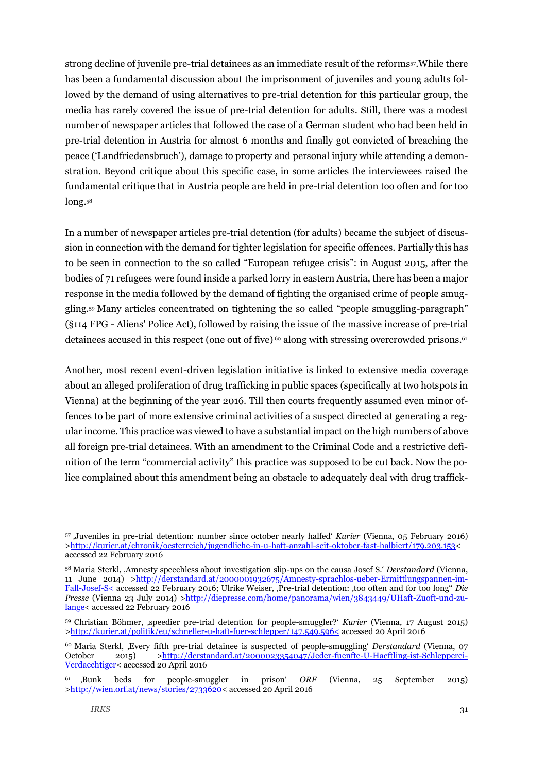strong decline of juvenile pre-trial detainees as an immediate result of the reforms<sup>57</sup>. While there has been a fundamental discussion about the imprisonment of juveniles and young adults followed by the demand of using alternatives to pre-trial detention for this particular group, the media has rarely covered the issue of pre-trial detention for adults. Still, there was a modest number of newspaper articles that followed the case of a German student who had been held in pre-trial detention in Austria for almost 6 months and finally got convicted of breaching the peace ('Landfriedensbruch'), damage to property and personal injury while attending a demonstration. Beyond critique about this specific case, in some articles the interviewees raised the fundamental critique that in Austria people are held in pre-trial detention too often and for too long. 58

In a number of newspaper articles pre-trial detention (for adults) became the subject of discussion in connection with the demand for tighter legislation for specific offences. Partially this has to be seen in connection to the so called "European refugee crisis": in August 2015, after the bodies of 71 refugees were found inside a parked lorry in eastern Austria, there has been a major response in the media followed by the demand of fighting the organised crime of people smuggling. <sup>59</sup> Many articles concentrated on tightening the so called "people smuggling-paragraph" (§114 FPG - Aliens' Police Act), followed by raising the issue of the massive increase of pre-trial detainees accused in this respect (one out of five)  $\circ$  along with stressing overcrowded prisons.  $\circ$ 

Another, most recent event-driven legislation initiative is linked to extensive media coverage about an alleged proliferation of drug trafficking in public spaces (specifically at two hotspots in Vienna) at the beginning of the year 2016. Till then courts frequently assumed even minor offences to be part of more extensive criminal activities of a suspect directed at generating a regular income. This practice was viewed to have a substantial impact on the high numbers of above all foreign pre-trial detainees. With an amendment to the Criminal Code and a restrictive definition of the term "commercial activity" this practice was supposed to be cut back. Now the police complained about this amendment being an obstacle to adequately deal with drug traffick-

<sup>57</sup> 'Juveniles in pre-trial detention: number since october nearly halfed' *Kurier* (Vienna, 05 February 2016) [>http://kurier.at/chronik/oesterreich/jugendliche-in-u-haft-anzahl-seit-oktober-fast-halbiert/179.203.153<](http://kurier.at/chronik/oesterreich/jugendliche-in-u-haft-anzahl-seit-oktober-fast-halbiert/179.203.153%3c) accessed 22 February 2016

<sup>58</sup> Maria Sterkl, 'Amnesty speechless about investigation slip-ups on the causa Josef S.' *Derstandard* (Vienna, 11 June 2014) [>http://derstandard.at/2000001932675/Amnesty-sprachlos-ueber-Ermittlungspannen-im-](http://derstandard.at/2000001932675/Amnesty-sprachlos-ueber-Ermittlungspannen-im-Fall-Josef-S%3c)[Fall-Josef-S<](http://derstandard.at/2000001932675/Amnesty-sprachlos-ueber-Ermittlungspannen-im-Fall-Josef-S%3c) accessed 22 February 2016; Ulrike Weiser, 'Pre-trial detention: 'too often and for too long'' *Die Presse* (Vienna 23 July 2014) [>http://diepresse.com/home/panorama/wien/3843449/UHaft-Zuoft-und-zu](http://diepresse.com/home/panorama/wien/3843449/UHaft-Zuoft-und-zu-lange%3c)[lange<](http://diepresse.com/home/panorama/wien/3843449/UHaft-Zuoft-und-zu-lange%3c) accessed 22 February 2016

<sup>59</sup> Christian Böhmer, 'speedier pre-trial detention for people-smuggler?' *Kurier* (Vienna, 17 August 2015) [>http://kurier.at/politik/eu/schneller-u-haft-fuer-schlepper/147.549.596<](http://kurier.at/politik/eu/schneller-u-haft-fuer-schlepper/147.549.596%3c) accessed 20 April 2016

<sup>60</sup> Maria Sterkl, 'Every fifth pre-trial detainee is suspected of people-smuggling' *Derstandard* (Vienna, 07 October 2015) [>http://derstandard.at/2000023354047/Jeder-fuenfte-U-Haeftling-ist-Schlepperei-](http://derstandard.at/2000023354047/Jeder-fuenfte-U-Haeftling-ist-Schlepperei-Verdaechtiger%3c)[Verdaechtiger<](http://derstandard.at/2000023354047/Jeder-fuenfte-U-Haeftling-ist-Schlepperei-Verdaechtiger%3c) accessed 20 April 2016

<sup>61</sup> 'Bunk beds for people-smuggler in prison' *ORF* (Vienna, 25 September 2015) [>http://wien.orf.at/news/stories/2733620<](http://wien.orf.at/news/stories/2733620%3c) accessed 20 April 2016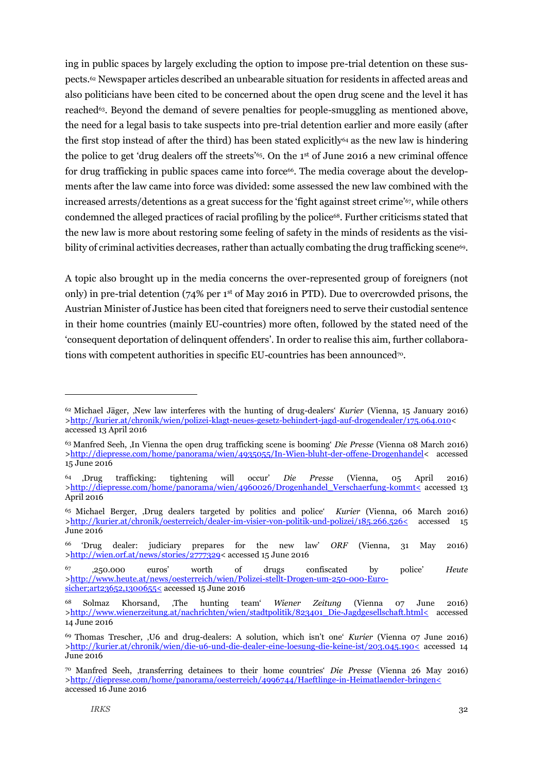ing in public spaces by largely excluding the option to impose pre-trial detention on these suspects. <sup>62</sup> Newspaper articles described an unbearable situation for residents in affected areas and also politicians have been cited to be concerned about the open drug scene and the level it has reached63. Beyond the demand of severe penalties for people-smuggling as mentioned above, the need for a legal basis to take suspects into pre-trial detention earlier and more easily (after the first stop instead of after the third) has been stated explicitly<sup>64</sup> as the new law is hindering the police to get 'drug dealers off the streets'65. On the 1st of June 2016 a new criminal offence for drug trafficking in public spaces came into force $66$ . The media coverage about the developments after the law came into force was divided: some assessed the new law combined with the increased arrests/detentions as a great success for the 'fight against street crime'67, while others condemned the alleged practices of racial profiling by the police68. Further criticisms stated that the new law is more about restoring some feeling of safety in the minds of residents as the visibility of criminal activities decreases, rather than actually combating the drug trafficking scene<sup>69</sup>.

A topic also brought up in the media concerns the over-represented group of foreigners (not only) in pre-trial detention ( $74\%$  per 1<sup>st</sup> of May 2016 in PTD). Due to overcrowded prisons, the Austrian Minister of Justice has been cited that foreigners need to serve their custodial sentence in their home countries (mainly EU-countries) more often, followed by the stated need of the 'consequent deportation of delinquent offenders'. In order to realise this aim, further collaborations with competent authorities in specific EU-countries has been announced<sup>70</sup>.

<sup>62</sup> Michael Jäger, 'New law interferes with the hunting of drug-dealers' *Kurier* (Vienna, 15 January 2016) [>http://kurier.at/chronik/wien/polizei-klagt-neues-gesetz-behindert-jagd-auf-drogendealer/175.064.010<](http://kurier.at/chronik/wien/polizei-klagt-neues-gesetz-behindert-jagd-auf-drogendealer/175.064.010%3c) accessed 13 April 2016

<sup>63</sup> Manfred Seeh, 'In Vienna the open drug trafficking scene is booming' *Die Presse* (Vienna 08 March 2016) [>http://diepresse.com/home/panorama/wien/4935055/In-Wien-bluht-der-offene-Drogenhandel<](http://diepresse.com/home/panorama/wien/4935055/In-Wien-bluht-der-offene-Drogenhandel%3c) accessed 15 June 2016

<sup>64</sup> 'Drug trafficking: tightening will occur' *Die Presse* (Vienna, 05 April 2016) [>http://diepresse.com/home/panorama/wien/4960026/Drogenhandel\\_Verschaerfung-kommt<](http://diepresse.com/home/panorama/wien/4960026/Drogenhandel_Verschaerfung-kommt%3c) accessed 13 April 2016

<sup>65</sup> Michael Berger, 'Drug dealers targeted by politics and police' *Kurier* (Vienna, 06 March 2016) [>http://kurier.at/chronik/oesterreich/dealer-im-visier-von-politik-und-polizei/185.266.526<](http://kurier.at/chronik/oesterreich/dealer-im-visier-von-politik-und-polizei/185.266.526%3c) accessed 15 June 2016

<sup>66</sup> 'Drug dealer: judiciary prepares for the new law' *ORF* (Vienna, 31 May 2016) [>http://wien.orf.at/news/stories/2777329<](http://wien.orf.at/news/stories/2777329%3c) accessed 15 June 2016

<sup>67</sup> '250.000 euros' worth of drugs confiscated by police' *Heute* [>http://www.heute.at/news/oesterreich/wien/Polizei-stellt-Drogen-um-250-000-Euro](http://www.heute.at/news/oesterreich/wien/Polizei-stellt-Drogen-um-250-000-Euro-sicher;art23652,1300655%3c)[sicher;art23652,1300655<](http://www.heute.at/news/oesterreich/wien/Polizei-stellt-Drogen-um-250-000-Euro-sicher;art23652,1300655%3c) accessed 15 June 2016

<sup>68</sup> Solmaz Khorsand, 'The hunting team' *Wiener Zeitung* (Vienna 07 June 2016) [>http://www.wienerzeitung.at/nachrichten/wien/stadtpolitik/823401\\_Die-Jagdgesellschaft.html<](http://www.wienerzeitung.at/nachrichten/wien/stadtpolitik/823401_Die-Jagdgesellschaft.html%3c) accessed 14 June 2016

<sup>69</sup> Thomas Trescher, 'U6 and drug-dealers: A solution, which isn't one' *Kurier* (Vienna 07 June 2016) [>http://kurier.at/chronik/wien/die-u6-und-die-dealer-eine-loesung-die-keine-ist/203.045.190<](http://kurier.at/chronik/wien/die-u6-und-die-dealer-eine-loesung-die-keine-ist/203.045.190%3c) accessed 14 June 2016

<sup>70</sup> Manfred Seeh, 'transferring detainees to their home countries' *Die Presse* (Vienna 26 May 2016) [>http://diepresse.com/home/panorama/oesterreich/4996744/Haeftlinge-in-Heimatlaender-bringen<](http://diepresse.com/home/panorama/oesterreich/4996744/Haeftlinge-in-Heimatlaender-bringen%3c) accessed 16 June 2016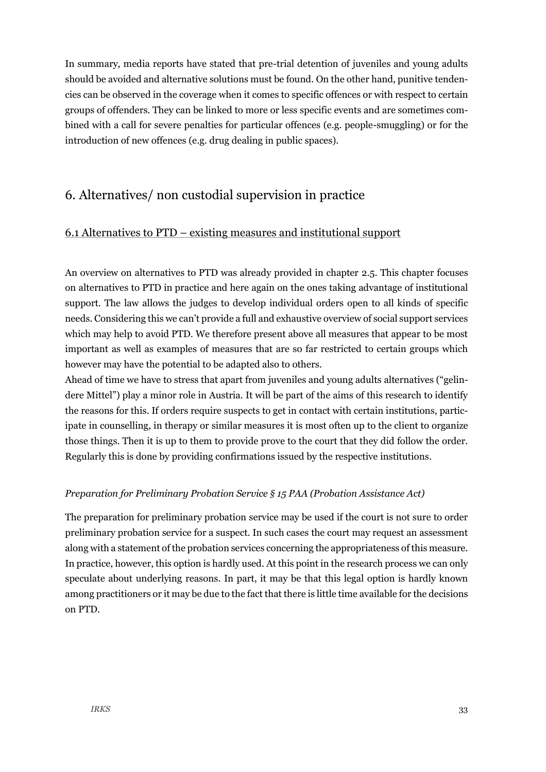In summary, media reports have stated that pre-trial detention of juveniles and young adults should be avoided and alternative solutions must be found. On the other hand, punitive tendencies can be observed in the coverage when it comes to specific offences or with respect to certain groups of offenders. They can be linked to more or less specific events and are sometimes combined with a call for severe penalties for particular offences (e.g. people-smuggling) or for the introduction of new offences (e.g. drug dealing in public spaces).

## <span id="page-32-0"></span>6. Alternatives/ non custodial supervision in practice

#### <span id="page-32-1"></span>6.1 Alternatives to PTD – existing measures and institutional support

An overview on alternatives to PTD was already provided in chapter 2.5. This chapter focuses on alternatives to PTD in practice and here again on the ones taking advantage of institutional support. The law allows the judges to develop individual orders open to all kinds of specific needs. Considering this we can't provide a full and exhaustive overview of social support services which may help to avoid PTD. We therefore present above all measures that appear to be most important as well as examples of measures that are so far restricted to certain groups which however may have the potential to be adapted also to others.

Ahead of time we have to stress that apart from juveniles and young adults alternatives ("gelindere Mittel") play a minor role in Austria. It will be part of the aims of this research to identify the reasons for this. If orders require suspects to get in contact with certain institutions, participate in counselling, in therapy or similar measures it is most often up to the client to organize those things. Then it is up to them to provide prove to the court that they did follow the order. Regularly this is done by providing confirmations issued by the respective institutions.

#### *Preparation for Preliminary Probation Service § 15 PAA (Probation Assistance Act)*

<span id="page-32-2"></span>The preparation for preliminary probation service may be used if the court is not sure to order preliminary probation service for a suspect. In such cases the court may request an assessment along with a statement of the probation services concerning the appropriateness of this measure. In practice, however, this option is hardly used. At this point in the research process we can only speculate about underlying reasons. In part, it may be that this legal option is hardly known among practitioners or it may be due to the fact that there is little time available for the decisions on PTD.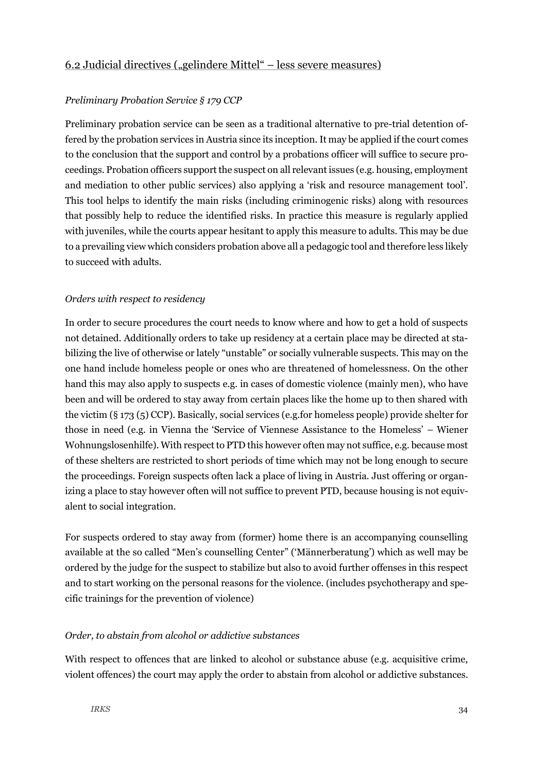#### *Preliminary Probation Service § 179 CCP*

Preliminary probation service can be seen as a traditional alternative to pre-trial detention offered by the probation services in Austria since its inception. It may be applied if the court comes to the conclusion that the support and control by a probations officer will suffice to secure proceedings. Probation officers support the suspect on all relevant issues (e.g. housing, employment and mediation to other public services) also applying a 'risk and resource management tool'. This tool helps to identify the main risks (including criminogenic risks) along with resources that possibly help to reduce the identified risks. In practice this measure is regularly applied with juveniles, while the courts appear hesitant to apply this measure to adults. This may be due to a prevailing view which considers probation above all a pedagogic tool and therefore less likely to succeed with adults.

#### *Orders with respect to residency*

In order to secure procedures the court needs to know where and how to get a hold of suspects not detained. Additionally orders to take up residency at a certain place may be directed at stabilizing the live of otherwise or lately "unstable" or socially vulnerable suspects. This may on the one hand include homeless people or ones who are threatened of homelessness. On the other hand this may also apply to suspects e.g. in cases of domestic violence (mainly men), who have been and will be ordered to stay away from certain places like the home up to then shared with the victim (§ 173 (5) CCP). Basically, social services (e.g.for homeless people) provide shelter for those in need (e.g. in Vienna the 'Service of Viennese Assistance to the Homeless' – Wiener Wohnungslosenhilfe). With respect to PTD this however often may not suffice, e.g. because most of these shelters are restricted to short periods of time which may not be long enough to secure the proceedings. Foreign suspects often lack a place of living in Austria. Just offering or organizing a place to stay however often will not suffice to prevent PTD, because housing is not equivalent to social integration.

For suspects ordered to stay away from (former) home there is an accompanying counselling available at the so called "Men's counselling Center" ('Männerberatung') which as well may be ordered by the judge for the suspect to stabilize but also to avoid further offenses in this respect and to start working on the personal reasons for the violence. (includes psychotherapy and specific trainings for the prevention of violence)

#### *Order, to abstain from alcohol or addictive substances*

With respect to offences that are linked to alcohol or substance abuse (e.g. acquisitive crime, violent offences) the court may apply the order to abstain from alcohol or addictive substances.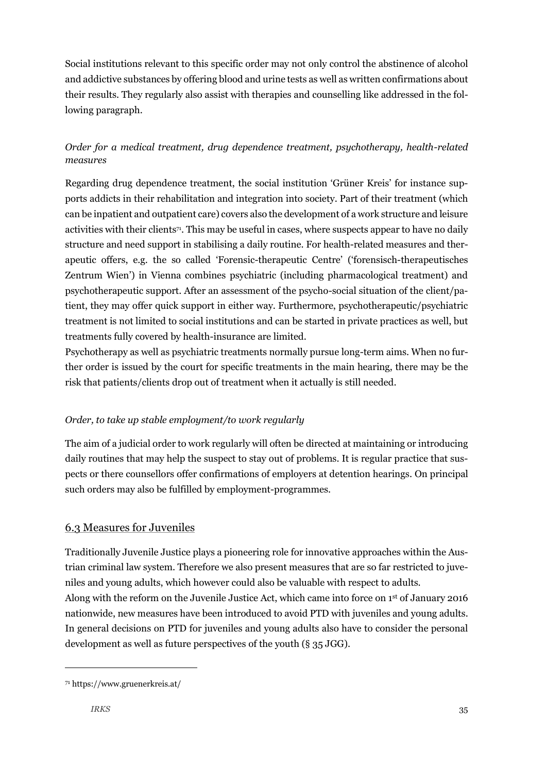Social institutions relevant to this specific order may not only control the abstinence of alcohol and addictive substances by offering blood and urine tests as well as written confirmations about their results. They regularly also assist with therapies and counselling like addressed in the following paragraph.

## *Order for a medical treatment, drug dependence treatment, psychotherapy, health-related measures*

Regarding drug dependence treatment, the social institution 'Grüner Kreis' for instance supports addicts in their rehabilitation and integration into society. Part of their treatment (which can be inpatient and outpatient care) covers also the development of a work structure and leisure activities with their clients71. This may be useful in cases, where suspects appear to have no daily structure and need support in stabilising a daily routine. For health-related measures and therapeutic offers, e.g. the so called 'Forensic-therapeutic Centre' ('forensisch-therapeutisches Zentrum Wien') in Vienna combines psychiatric (including pharmacological treatment) and psychotherapeutic support. After an assessment of the psycho-social situation of the client/patient, they may offer quick support in either way. Furthermore, psychotherapeutic/psychiatric treatment is not limited to social institutions and can be started in private practices as well, but treatments fully covered by health-insurance are limited.

Psychotherapy as well as psychiatric treatments normally pursue long-term aims. When no further order is issued by the court for specific treatments in the main hearing, there may be the risk that patients/clients drop out of treatment when it actually is still needed.

## *Order, to take up stable employment/to work regularly*

The aim of a judicial order to work regularly will often be directed at maintaining or introducing daily routines that may help the suspect to stay out of problems. It is regular practice that suspects or there counsellors offer confirmations of employers at detention hearings. On principal such orders may also be fulfilled by employment-programmes.

## <span id="page-34-0"></span>6.3 Measures for Juveniles

Traditionally Juvenile Justice plays a pioneering role for innovative approaches within the Austrian criminal law system. Therefore we also present measures that are so far restricted to juveniles and young adults, which however could also be valuable with respect to adults. Along with the reform on the Juvenile Justice Act, which came into force on 1st of January 2016 nationwide, new measures have been introduced to avoid PTD with juveniles and young adults. In general decisions on PTD for juveniles and young adults also have to consider the personal development as well as future perspectives of the youth (§ 35 JGG).

<sup>71</sup> https://www.gruenerkreis.at/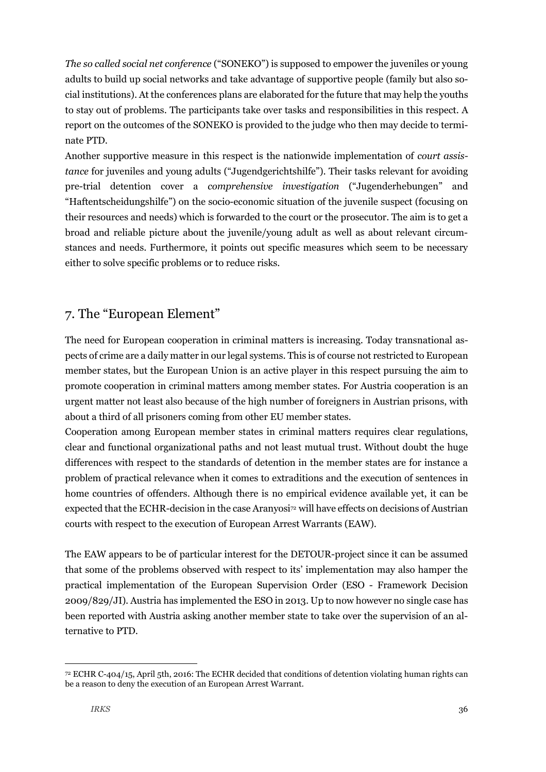*The so called social net conference* ("SONEKO") is supposed to empower the juveniles or young adults to build up social networks and take advantage of supportive people (family but also social institutions). At the conferences plans are elaborated for the future that may help the youths to stay out of problems. The participants take over tasks and responsibilities in this respect. A report on the outcomes of the SONEKO is provided to the judge who then may decide to terminate PTD.

Another supportive measure in this respect is the nationwide implementation of *court assistance* for juveniles and young adults ("Jugendgerichtshilfe"). Their tasks relevant for avoiding pre-trial detention cover a *comprehensive investigation* ("Jugenderhebungen" and "Haftentscheidungshilfe") on the socio-economic situation of the juvenile suspect (focusing on their resources and needs) which is forwarded to the court or the prosecutor. The aim is to get a broad and reliable picture about the juvenile/young adult as well as about relevant circumstances and needs. Furthermore, it points out specific measures which seem to be necessary either to solve specific problems or to reduce risks.

## <span id="page-35-0"></span>7. The "European Element"

The need for European cooperation in criminal matters is increasing. Today transnational aspects of crime are a daily matter in our legal systems. This is of course not restricted to European member states, but the European Union is an active player in this respect pursuing the aim to promote cooperation in criminal matters among member states. For Austria cooperation is an urgent matter not least also because of the high number of foreigners in Austrian prisons, with about a third of all prisoners coming from other EU member states.

Cooperation among European member states in criminal matters requires clear regulations, clear and functional organizational paths and not least mutual trust. Without doubt the huge differences with respect to the standards of detention in the member states are for instance a problem of practical relevance when it comes to extraditions and the execution of sentences in home countries of offenders. Although there is no empirical evidence available yet, it can be expected that the ECHR-decision in the case Aranyosi<sup>72</sup> will have effects on decisions of Austrian courts with respect to the execution of European Arrest Warrants (EAW).

The EAW appears to be of particular interest for the DETOUR-project since it can be assumed that some of the problems observed with respect to its' implementation may also hamper the practical implementation of the European Supervision Order (ESO - Framework Decision 2009/829/JI). Austria has implemented the ESO in 2013. Up to now however no single case has been reported with Austria asking another member state to take over the supervision of an alternative to PTD.

<sup>72</sup> ECHR C-404/15, April 5th, 2016: The ECHR decided that conditions of detention violating human rights can be a reason to deny the execution of an European Arrest Warrant.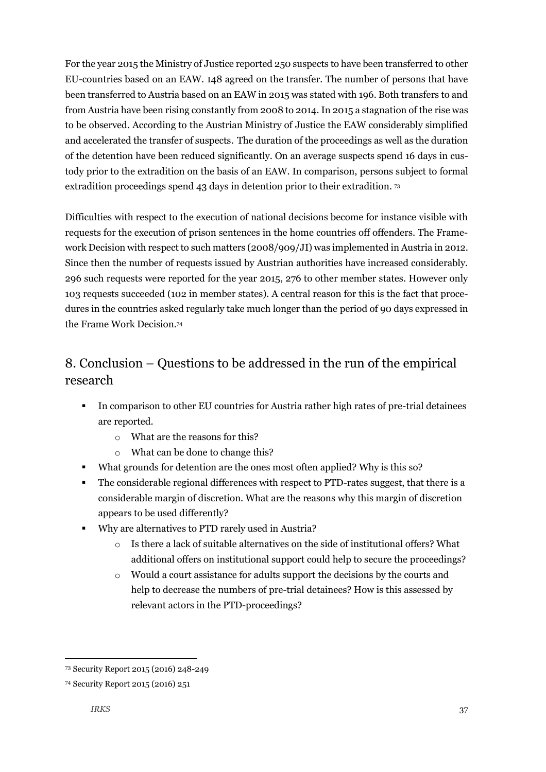For the year 2015 the Ministry of Justice reported 250 suspects to have been transferred to other EU-countries based on an EAW. 148 agreed on the transfer. The number of persons that have been transferred to Austria based on an EAW in 2015 was stated with 196. Both transfers to and from Austria have been rising constantly from 2008 to 2014. In 2015 a stagnation of the rise was to be observed. According to the Austrian Ministry of Justice the EAW considerably simplified and accelerated the transfer of suspects. The duration of the proceedings as well as the duration of the detention have been reduced significantly. On an average suspects spend 16 days in custody prior to the extradition on the basis of an EAW. In comparison, persons subject to formal extradition proceedings spend 43 days in detention prior to their extradition. 73

Difficulties with respect to the execution of national decisions become for instance visible with requests for the execution of prison sentences in the home countries off offenders. The Framework Decision with respect to such matters (2008/909/JI) was implemented in Austria in 2012. Since then the number of requests issued by Austrian authorities have increased considerably. 296 such requests were reported for the year 2015, 276 to other member states. However only 103 requests succeeded (102 in member states). A central reason for this is the fact that procedures in the countries asked regularly take much longer than the period of 90 days expressed in the Frame Work Decision.<sup>74</sup>

## <span id="page-36-0"></span>8. Conclusion – Questions to be addressed in the run of the empirical research

- In comparison to other EU countries for Austria rather high rates of pre-trial detainees are reported.
	- o What are the reasons for this?
	- o What can be done to change this?
- What grounds for detention are the ones most often applied? Why is this so?
- The considerable regional differences with respect to PTD-rates suggest, that there is a considerable margin of discretion. What are the reasons why this margin of discretion appears to be used differently?
- Why are alternatives to PTD rarely used in Austria?
	- o Is there a lack of suitable alternatives on the side of institutional offers? What additional offers on institutional support could help to secure the proceedings?
	- o Would a court assistance for adults support the decisions by the courts and help to decrease the numbers of pre-trial detainees? How is this assessed by relevant actors in the PTD-proceedings?

<sup>73</sup> Security Report 2015 (2016) 248-249

<sup>74</sup> Security Report 2015 (2016) 251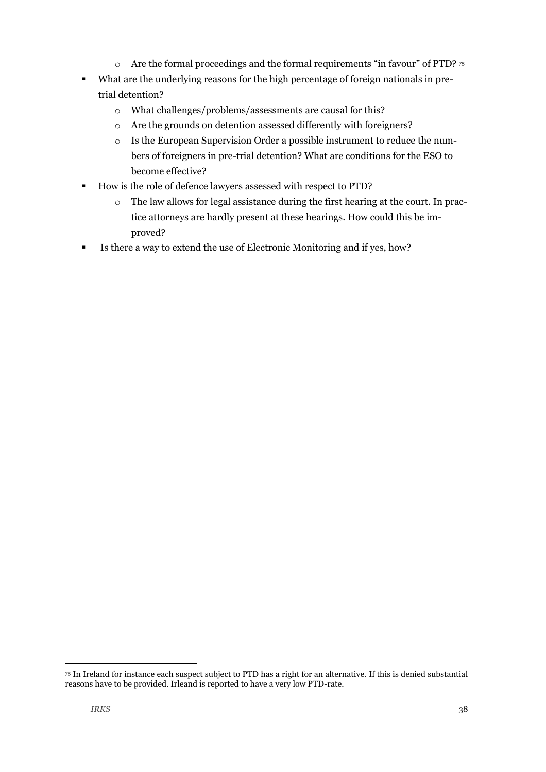- o Are the formal proceedings and the formal requirements "in favour" of PTD? <sup>75</sup>
- What are the underlying reasons for the high percentage of foreign nationals in pretrial detention?
	- o What challenges/problems/assessments are causal for this?
	- o Are the grounds on detention assessed differently with foreigners?
	- o Is the European Supervision Order a possible instrument to reduce the numbers of foreigners in pre-trial detention? What are conditions for the ESO to become effective?
- How is the role of defence lawyers assessed with respect to PTD?
	- o The law allows for legal assistance during the first hearing at the court. In practice attorneys are hardly present at these hearings. How could this be improved?
- Is there a way to extend the use of Electronic Monitoring and if yes, how?

<sup>75</sup> In Ireland for instance each suspect subject to PTD has a right for an alternative. If this is denied substantial reasons have to be provided. Irleand is reported to have a very low PTD-rate.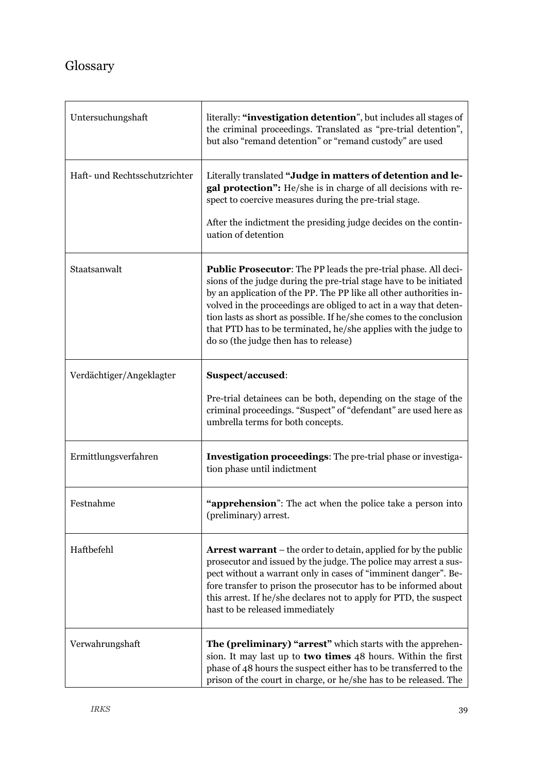## Glossary

| Untersuchungshaft             | literally: "investigation detention", but includes all stages of<br>the criminal proceedings. Translated as "pre-trial detention",<br>but also "remand detention" or "remand custody" are used                                                                                                                                                                                                                                                                    |
|-------------------------------|-------------------------------------------------------------------------------------------------------------------------------------------------------------------------------------------------------------------------------------------------------------------------------------------------------------------------------------------------------------------------------------------------------------------------------------------------------------------|
| Haft- und Rechtsschutzrichter | Literally translated "Judge in matters of detention and le-<br>gal protection": He/she is in charge of all decisions with re-<br>spect to coercive measures during the pre-trial stage.<br>After the indictment the presiding judge decides on the contin-<br>uation of detention                                                                                                                                                                                 |
| Staatsanwalt                  | Public Prosecutor: The PP leads the pre-trial phase. All deci-<br>sions of the judge during the pre-trial stage have to be initiated<br>by an application of the PP. The PP like all other authorities in-<br>volved in the proceedings are obliged to act in a way that deten-<br>tion lasts as short as possible. If he/she comes to the conclusion<br>that PTD has to be terminated, he/she applies with the judge to<br>do so (the judge then has to release) |
| Verdächtiger/Angeklagter      | Suspect/accused:                                                                                                                                                                                                                                                                                                                                                                                                                                                  |
|                               | Pre-trial detainees can be both, depending on the stage of the<br>criminal proceedings. "Suspect" of "defendant" are used here as<br>umbrella terms for both concepts.                                                                                                                                                                                                                                                                                            |
| Ermittlungsverfahren          | Investigation proceedings: The pre-trial phase or investiga-<br>tion phase until indictment                                                                                                                                                                                                                                                                                                                                                                       |
| Festnahme                     | "apprehension": The act when the police take a person into<br>(preliminary) arrest.                                                                                                                                                                                                                                                                                                                                                                               |
| Haftbefehl                    | <b>Arrest warrant</b> – the order to detain, applied for by the public<br>prosecutor and issued by the judge. The police may arrest a sus-<br>pect without a warrant only in cases of "imminent danger". Be-<br>fore transfer to prison the prosecutor has to be informed about<br>this arrest. If he/she declares not to apply for PTD, the suspect<br>hast to be released immediately                                                                           |
| Verwahrungshaft               | The (preliminary) "arrest" which starts with the apprehen-<br>sion. It may last up to two times 48 hours. Within the first<br>phase of 48 hours the suspect either has to be transferred to the<br>prison of the court in charge, or he/she has to be released. The                                                                                                                                                                                               |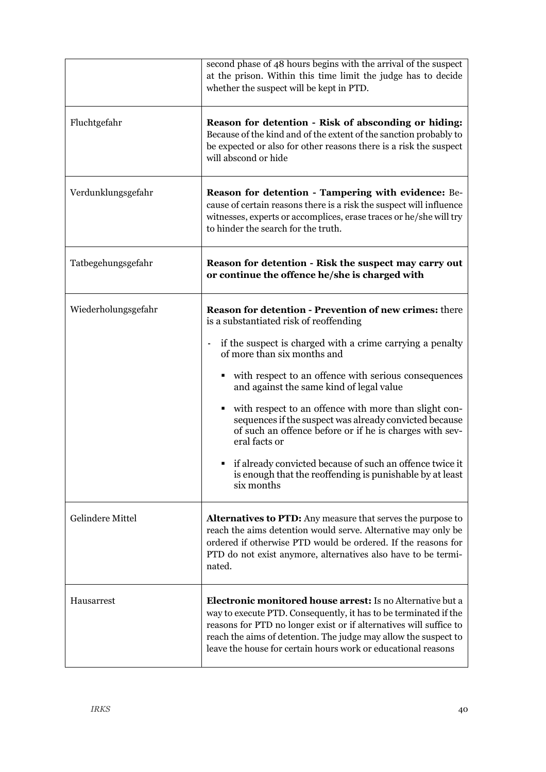|                     | second phase of 48 hours begins with the arrival of the suspect<br>at the prison. Within this time limit the judge has to decide<br>whether the suspect will be kept in PTD.                                                                                                                                                                    |
|---------------------|-------------------------------------------------------------------------------------------------------------------------------------------------------------------------------------------------------------------------------------------------------------------------------------------------------------------------------------------------|
| Fluchtgefahr        | Reason for detention - Risk of absconding or hiding:<br>Because of the kind and of the extent of the sanction probably to<br>be expected or also for other reasons there is a risk the suspect<br>will abscond or hide                                                                                                                          |
| Verdunklungsgefahr  | Reason for detention - Tampering with evidence: Be-<br>cause of certain reasons there is a risk the suspect will influence<br>witnesses, experts or accomplices, erase traces or he/she will try<br>to hinder the search for the truth.                                                                                                         |
| Tatbegehungsgefahr  | Reason for detention - Risk the suspect may carry out<br>or continue the offence he/she is charged with                                                                                                                                                                                                                                         |
| Wiederholungsgefahr | <b>Reason for detention - Prevention of new crimes: there</b><br>is a substantiated risk of reoffending                                                                                                                                                                                                                                         |
|                     | if the suspect is charged with a crime carrying a penalty<br>$\sim$<br>of more than six months and                                                                                                                                                                                                                                              |
|                     | with respect to an offence with serious consequences<br>٠<br>and against the same kind of legal value                                                                                                                                                                                                                                           |
|                     | with respect to an offence with more than slight con-<br>٠<br>sequences if the suspect was already convicted because<br>of such an offence before or if he is charges with sev-<br>eral facts or                                                                                                                                                |
|                     | • if already convicted because of such an offence twice it<br>is enough that the reoffending is punishable by at least<br>six months                                                                                                                                                                                                            |
| Gelindere Mittel    | <b>Alternatives to PTD:</b> Any measure that serves the purpose to<br>reach the aims detention would serve. Alternative may only be<br>ordered if otherwise PTD would be ordered. If the reasons for<br>PTD do not exist anymore, alternatives also have to be termi-<br>nated.                                                                 |
| Hausarrest          | <b>Electronic monitored house arrest:</b> Is no Alternative but a<br>way to execute PTD. Consequently, it has to be terminated if the<br>reasons for PTD no longer exist or if alternatives will suffice to<br>reach the aims of detention. The judge may allow the suspect to<br>leave the house for certain hours work or educational reasons |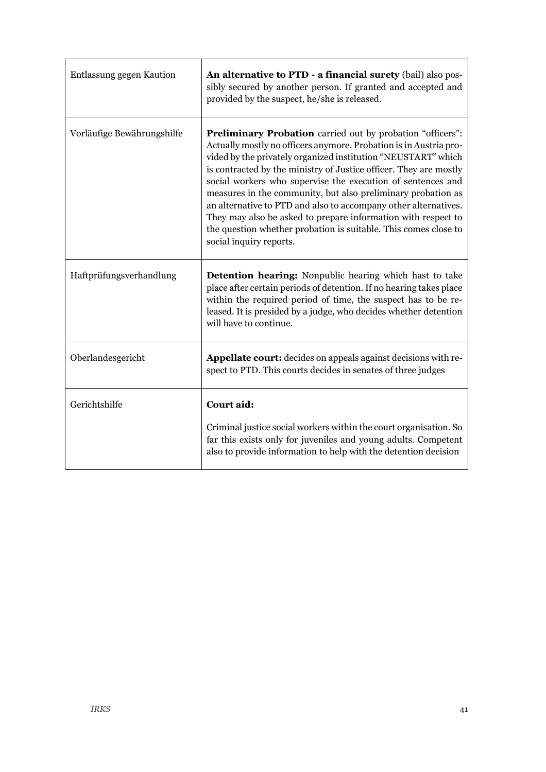| Entlassung gegen Kaution   | An alternative to PTD - a financial surety (bail) also pos-<br>sibly secured by another person. If granted and accepted and<br>provided by the suspect, he/she is released.                                                                                                                                                                                                                                                                                                                                                                                                                                                                   |
|----------------------------|-----------------------------------------------------------------------------------------------------------------------------------------------------------------------------------------------------------------------------------------------------------------------------------------------------------------------------------------------------------------------------------------------------------------------------------------------------------------------------------------------------------------------------------------------------------------------------------------------------------------------------------------------|
| Vorläufige Bewährungshilfe | <b>Preliminary Probation</b> carried out by probation "officers":<br>Actually mostly no officers anymore. Probation is in Austria pro-<br>vided by the privately organized institution "NEUSTART" which<br>is contracted by the ministry of Justice officer. They are mostly<br>social workers who supervise the execution of sentences and<br>measures in the community, but also preliminary probation as<br>an alternative to PTD and also to accompany other alternatives.<br>They may also be asked to prepare information with respect to<br>the question whether probation is suitable. This comes close to<br>social inquiry reports. |
| Haftprüfungsverhandlung    | <b>Detention hearing:</b> Nonpublic hearing which hast to take<br>place after certain periods of detention. If no hearing takes place<br>within the required period of time, the suspect has to be re-<br>leased. It is presided by a judge, who decides whether detention<br>will have to continue.                                                                                                                                                                                                                                                                                                                                          |
| Oberlandesgericht          | <b>Appellate court:</b> decides on appeals against decisions with re-<br>spect to PTD. This courts decides in senates of three judges                                                                                                                                                                                                                                                                                                                                                                                                                                                                                                         |
| Gerichtshilfe              | Court aid:<br>Criminal justice social workers within the court organisation. So<br>far this exists only for juveniles and young adults. Competent<br>also to provide information to help with the detention decision                                                                                                                                                                                                                                                                                                                                                                                                                          |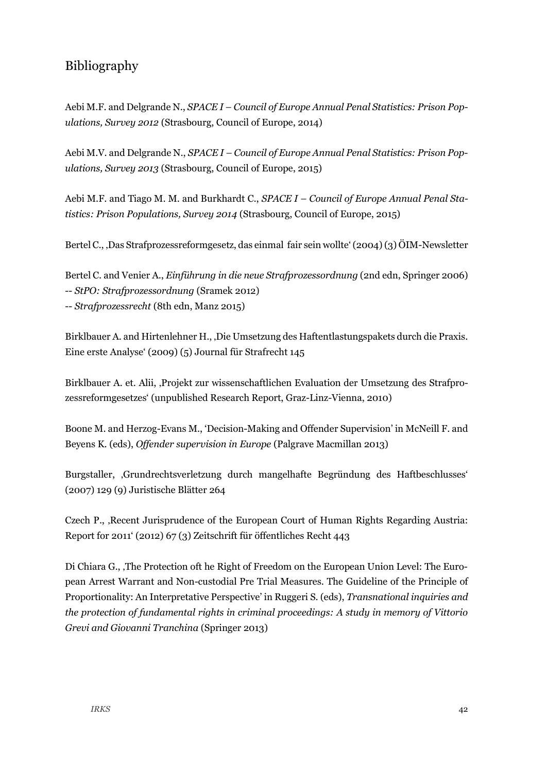## Bibliography

Aebi M.F. and Delgrande N., *SPACE I – Council of Europe Annual Penal Statistics: Prison Populations, Survey 2012* (Strasbourg, Council of Europe, 2014)

Aebi M.V. and Delgrande N., *SPACE I – Council of Europe Annual Penal Statistics: Prison Populations, Survey 2013* (Strasbourg, Council of Europe, 2015)

Aebi M.F. and Tiago M. M. and Burkhardt C., *SPACE I – Council of Europe Annual Penal Statistics: Prison Populations, Survey 2014* (Strasbourg, Council of Europe, 2015)

Bertel C., 'Das Strafprozessreformgesetz, das einmal fair sein wollte' (2004) (3) ÖIM-Newsletter

Bertel C. and Venier A., *Einführung in die neue Strafprozessordnung* (2nd edn, Springer 2006) -- *StPO: Strafprozessordnung* (Sramek 2012) -- *Strafprozessrecht* (8th edn, Manz 2015)

Birklbauer A. and Hirtenlehner H., Die Umsetzung des Haftentlastungspakets durch die Praxis. Eine erste Analyse' (2009) (5) Journal für Strafrecht 145

Birklbauer A. et. Alii, 'Projekt zur wissenschaftlichen Evaluation der Umsetzung des Strafprozessreformgesetzes' (unpublished Research Report, Graz-Linz-Vienna, 2010)

Boone M. and Herzog-Evans M., 'Decision-Making and Offender Supervision' in McNeill F. and Beyens K. (eds), *Offender supervision in Europe* (Palgrave Macmillan 2013)

Burgstaller, 'Grundrechtsverletzung durch mangelhafte Begründung des Haftbeschlusses' (2007) 129 (9) Juristische Blätter 264

Czech P., 'Recent Jurisprudence of the European Court of Human Rights Regarding Austria: Report for 2011' (2012) 67 (3) Zeitschrift für öffentliches Recht 443

Di Chiara G., The Protection oft he Right of Freedom on the European Union Level: The European Arrest Warrant and Non-custodial Pre Trial Measures. The Guideline of the Principle of Proportionality: An Interpretative Perspective' in Ruggeri S. (eds), *Transnational inquiries and the protection of fundamental rights in criminal proceedings: A study in memory of Vittorio Grevi and Giovanni Tranchina* (Springer 2013)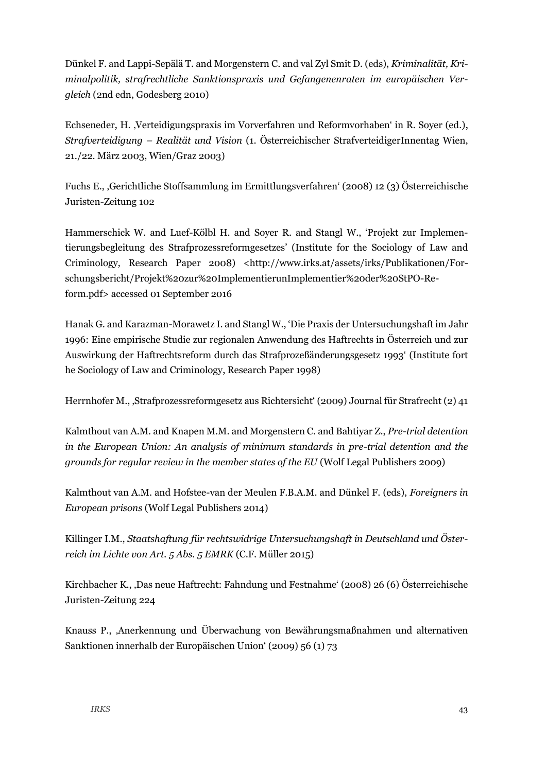Dünkel F. and Lappi-Sepälä T. and Morgenstern C. and val Zyl Smit D. (eds), *Kriminalität, Kriminalpolitik, strafrechtliche Sanktionspraxis und Gefangenenraten im europäischen Vergleich* (2nd edn, Godesberg 2010)

Echseneder, H. 'Verteidigungspraxis im Vorverfahren und Reformvorhaben' in R. Soyer (ed.), *Strafverteidigung – Realität und Vision* (1. Österreichischer StrafverteidigerInnentag Wien, 21./22. März 2003, Wien/Graz 2003)

Fuchs E., 'Gerichtliche Stoffsammlung im Ermittlungsverfahren' (2008) 12 (3) Österreichische Juristen-Zeitung 102

Hammerschick W. and Luef-Kölbl H. and Soyer R. and Stangl W., 'Projekt zur Implementierungsbegleitung des Strafprozessreformgesetzes' (Institute for the Sociology of Law and Criminology, Research Paper 2008) <http://www.irks.at/assets/irks/Publikationen/Forschungsbericht/Projekt%20zur%20ImplementierunImplementier%20der%20StPO-Reform.pdf> accessed 01 September 2016

Hanak G. and Karazman-Morawetz I. and Stangl W., 'Die Praxis der Untersuchungshaft im Jahr 1996: Eine empirische Studie zur regionalen Anwendung des Haftrechts in Österreich und zur Auswirkung der Haftrechtsreform durch das Strafprozeßänderungsgesetz 1993' (Institute fort he Sociology of Law and Criminology, Research Paper 1998)

Herrnhofer M., 'Strafprozessreformgesetz aus Richtersicht' (2009) Journal für Strafrecht (2) 41

Kalmthout van A.M. and Knapen M.M. and Morgenstern C. and Bahtiyar Z., *Pre-trial detention in the European Union: An analysis of minimum standards in pre-trial detention and the grounds for regular review in the member states of the EU* (Wolf Legal Publishers 2009)

Kalmthout van A.M. and Hofstee-van der Meulen F.B.A.M. and Dünkel F. (eds), *Foreigners in European prisons* (Wolf Legal Publishers 2014)

Killinger I.M., *Staatshaftung für rechtswidrige Untersuchungshaft in Deutschland und Österreich im Lichte von Art. 5 Abs. 5 EMRK* (C.F. Müller 2015)

Kirchbacher K., 'Das neue Haftrecht: Fahndung und Festnahme' (2008) 26 (6) Österreichische Juristen-Zeitung 224

Knauss P., 'Anerkennung und Überwachung von Bewährungsmaßnahmen und alternativen Sanktionen innerhalb der Europäischen Union' (2009) 56 (1) 73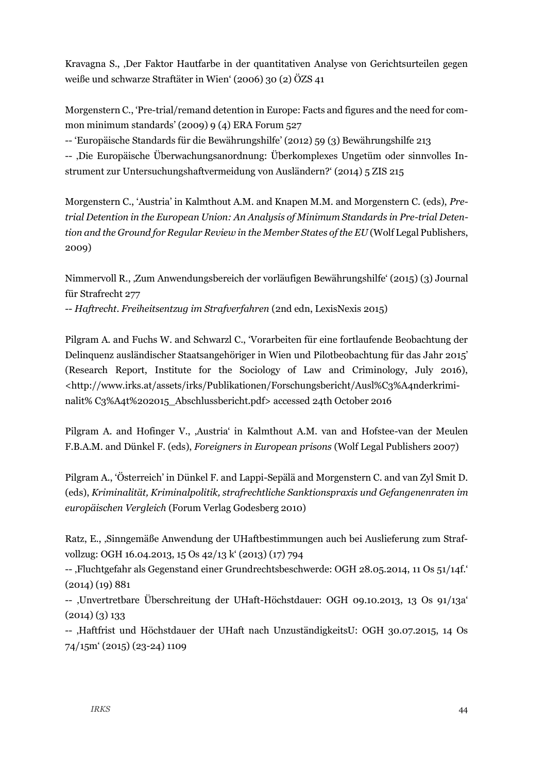Kravagna S., 'Der Faktor Hautfarbe in der quantitativen Analyse von Gerichtsurteilen gegen weiße und schwarze Straftäter in Wien' (2006) 30 (2) ÖZS 41

Morgenstern C., 'Pre-trial/remand detention in Europe: Facts and figures and the need for common minimum standards' (2009) 9 (4) ERA Forum 527

-- 'Europäische Standards für die Bewährungshilfe' (2012) 59 (3) Bewährungshilfe 213

-- 'Die Europäische Überwachungsanordnung: Überkomplexes Ungetüm oder sinnvolles Instrument zur Untersuchungshaftvermeidung von Ausländern?' (2014) 5 ZIS 215

Morgenstern C., 'Austria' in Kalmthout A.M. and Knapen M.M. and Morgenstern C. (eds), *Pretrial Detention in the European Union: An Analysis of Minimum Standards in Pre-trial Detention and the Ground for Regular Review in the Member States of the EU* (Wolf Legal Publishers, 2009)

Nimmervoll R., 'Zum Anwendungsbereich der vorläufigen Bewährungshilfe' (2015) (3) Journal für Strafrecht 277 -- *Haftrecht. Freiheitsentzug im Strafverfahren* (2nd edn, LexisNexis 2015)

Pilgram A. and Fuchs W. and Schwarzl C., 'Vorarbeiten für eine fortlaufende Beobachtung der Delinquenz ausländischer Staatsangehöriger in Wien und Pilotbeobachtung für das Jahr 2015' (Research Report, Institute for the Sociology of Law and Criminology, July 2016), [<http://www.irks.at/assets/irks/Publikationen/Forschungsbericht/Ausl%C3%A4nderkrimi](http://www.irks.at/assets/irks/Publikationen/Forschungsbericht/Ausl%C3%A4nderkriminalit%25%20C3%A4t%202015_Abschlussbericht.pdf)[nalit% C3%A4t%202015\\_Abschlussbericht.pdf>](http://www.irks.at/assets/irks/Publikationen/Forschungsbericht/Ausl%C3%A4nderkriminalit%25%20C3%A4t%202015_Abschlussbericht.pdf) accessed 24th October 2016

Pilgram A. and Hofinger V., 'Austria' in Kalmthout A.M. van and Hofstee-van der Meulen F.B.A.M. and Dünkel F. (eds), *Foreigners in European prisons* (Wolf Legal Publishers 2007)

Pilgram A., 'Österreich' in Dünkel F. and Lappi-Sepälä and Morgenstern C. and van Zyl Smit D. (eds), *Kriminalität, Kriminalpolitik, strafrechtliche Sanktionspraxis und Gefangenenraten im europäischen Vergleich* (Forum Verlag Godesberg 2010)

Ratz, E., 'Sinngemäße Anwendung der UHaftbestimmungen auch bei Auslieferung zum Strafvollzug: OGH 16.04.2013, 15 Os 42/13 k' (2013) (17) 794

--, Fluchtgefahr als Gegenstand einer Grundrechtsbeschwerde: OGH 28.05.2014, 11 Os 51/14f.  $(2014)(19)881$ 

-- 'Unvertretbare Überschreitung der UHaft-Höchstdauer: OGH 09.10.2013, 13 Os 91/13a' (2014) (3) 133

-- 'Haftfrist und Höchstdauer der UHaft nach UnzuständigkeitsU: OGH 30.07.2015, 14 Os 74/15m' (2015) (23-24) 1109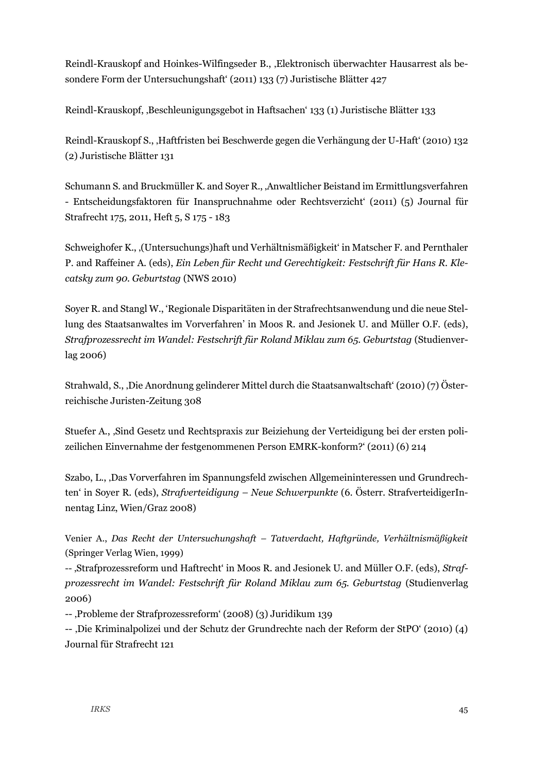Reindl-Krauskopf and Hoinkes-Wilfingseder B., 'Elektronisch überwachter Hausarrest als besondere Form der Untersuchungshaft' (2011) 133 (7) Juristische Blätter 427

Reindl-Krauskopf, 'Beschleunigungsgebot in Haftsachen' 133 (1) Juristische Blätter 133

Reindl-Krauskopf S., 'Haftfristen bei Beschwerde gegen die Verhängung der U-Haft' (2010) 132 (2) Juristische Blätter 131

Schumann S. and Bruckmüller K. and Soyer R., 'Anwaltlicher Beistand im Ermittlungsverfahren - Entscheidungsfaktoren für Inanspruchnahme oder Rechtsverzicht' (2011) (5) Journal für Strafrecht 175, 2011, Heft 5, S 175 - 183

Schweighofer K., '(Untersuchungs)haft und Verhältnismäßigkeit' in Matscher F. and Pernthaler P. and Raffeiner A. (eds), *Ein Leben für Recht und Gerechtigkeit: Festschrift für Hans R. Klecatsky zum 90. Geburtstag* (NWS 2010)

Soyer R. and Stangl W., 'Regionale Disparitäten in der Strafrechtsanwendung und die neue Stellung des Staatsanwaltes im Vorverfahren' in Moos R. and Jesionek U. and Müller O.F. (eds), *Strafprozessrecht im Wandel: Festschrift für Roland Miklau zum 65. Geburtstag* (Studienverlag 2006)

Strahwald, S., 'Die Anordnung gelinderer Mittel durch die Staatsanwaltschaft' (2010) (7) Österreichische Juristen-Zeitung 308

Stuefer A., 'Sind Gesetz und Rechtspraxis zur Beiziehung der Verteidigung bei der ersten polizeilichen Einvernahme der festgenommenen Person EMRK-konform?' (2011) (6) 214

Szabo, L., 'Das Vorverfahren im Spannungsfeld zwischen Allgemeininteressen und Grundrechten' in Soyer R. (eds), *Strafverteidigung – Neue Schwerpunkte* (6. Österr. StrafverteidigerInnentag Linz, Wien/Graz 2008)

Venier A., *Das Recht der Untersuchungshaft – Tatverdacht, Haftgründe, Verhältnismäßigkeit* (Springer Verlag Wien, 1999)

-- 'Strafprozessreform und Haftrecht' in Moos R. and Jesionek U. and Müller O.F. (eds), *Strafprozessrecht im Wandel: Festschrift für Roland Miklau zum 65. Geburtstag* (Studienverlag 2006)

-- 'Probleme der Strafprozessreform' (2008) (3) Juridikum 139

-- 'Die Kriminalpolizei und der Schutz der Grundrechte nach der Reform der StPO' (2010) (4) Journal für Strafrecht 121